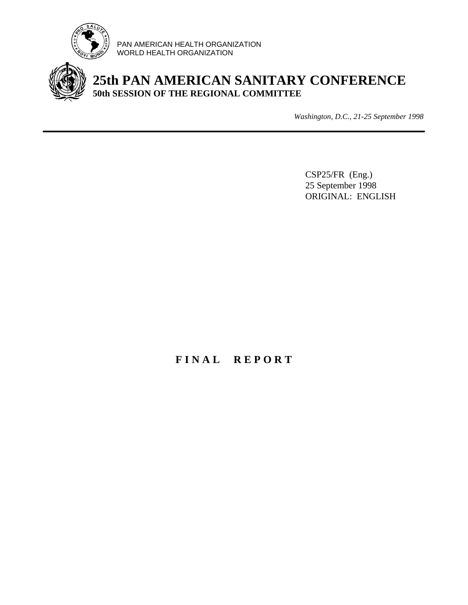

PAN AMERICAN HEALTH ORGANIZATION WORLD HEALTH ORGANIZATION



# **25th PAN AMERICAN SANITARY CONFERENCE 50th SESSION OF THE REGIONAL COMMITTEE**

*Washington, D.C., 21-25 September 1998*

CSP25/FR (Eng.) 25 September 1998 ORIGINAL: ENGLISH

# **F I N A L R E P O R T**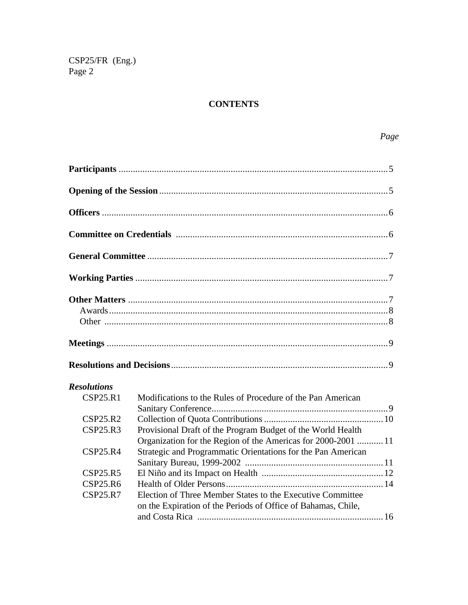## **CONTENTS**

| <b>Resolutions</b> |                                                                                                                              |
|--------------------|------------------------------------------------------------------------------------------------------------------------------|
| <b>CSP25.R1</b>    | Modifications to the Rules of Procedure of the Pan American                                                                  |
| CSP25.R2           |                                                                                                                              |
| <b>CSP25.R3</b>    | Provisional Draft of the Program Budget of the World Health<br>Organization for the Region of the Americas for 2000-2001  11 |
| <b>CSP25.R4</b>    | Strategic and Programmatic Orientations for the Pan American                                                                 |
| CSP25.R5           |                                                                                                                              |
| <b>CSP25.R6</b>    |                                                                                                                              |
| <b>CSP25.R7</b>    | Election of Three Member States to the Executive Committee<br>on the Expiration of the Periods of Office of Bahamas, Chile,  |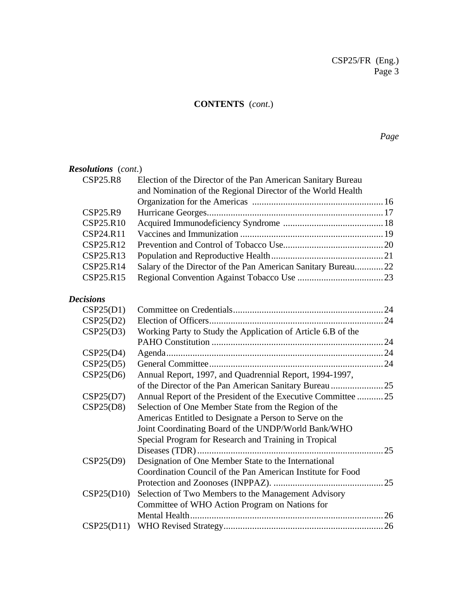## **CONTENTS** (*cont*.)

*Page*

| <b>Resolutions</b> (cont.) |                                                                                                                             |  |
|----------------------------|-----------------------------------------------------------------------------------------------------------------------------|--|
| <b>CSP25.R8</b>            | Election of the Director of the Pan American Sanitary Bureau<br>and Nomination of the Regional Director of the World Health |  |
|                            |                                                                                                                             |  |
| CSP25.R9                   |                                                                                                                             |  |
| CSP25.R10                  |                                                                                                                             |  |
| CSP24.R11                  |                                                                                                                             |  |
| CSP25.R12                  |                                                                                                                             |  |
| CSP25.R13                  |                                                                                                                             |  |
| CSP25.R14                  | Salary of the Director of the Pan American Sanitary Bureau22                                                                |  |
| CSP25.R15                  |                                                                                                                             |  |
|                            |                                                                                                                             |  |

## *Decisions*

| CSP25(D1)  |                                                              |    |
|------------|--------------------------------------------------------------|----|
| CSP25(D2)  |                                                              |    |
| CSP25(D3)  | Working Party to Study the Application of Article 6.B of the |    |
|            |                                                              |    |
| CSP25(D4)  |                                                              |    |
| CSP25(D5)  |                                                              |    |
| CSP25(D6)  | Annual Report, 1997, and Quadrennial Report, 1994-1997,      |    |
|            |                                                              |    |
| CSP25(D7)  | Annual Report of the President of the Executive Committee 25 |    |
| CSP25(D8)  | Selection of One Member State from the Region of the         |    |
|            | Americas Entitled to Designate a Person to Serve on the      |    |
|            | Joint Coordinating Board of the UNDP/World Bank/WHO          |    |
|            | Special Program for Research and Training in Tropical        |    |
|            |                                                              | 25 |
| CSP25(D9)  | Designation of One Member State to the International         |    |
|            | Coordination Council of the Pan American Institute for Food  |    |
|            |                                                              |    |
| CSP25(D10) | Selection of Two Members to the Management Advisory          |    |
|            | Committee of WHO Action Program on Nations for               |    |
|            |                                                              | 26 |
|            |                                                              |    |
|            |                                                              |    |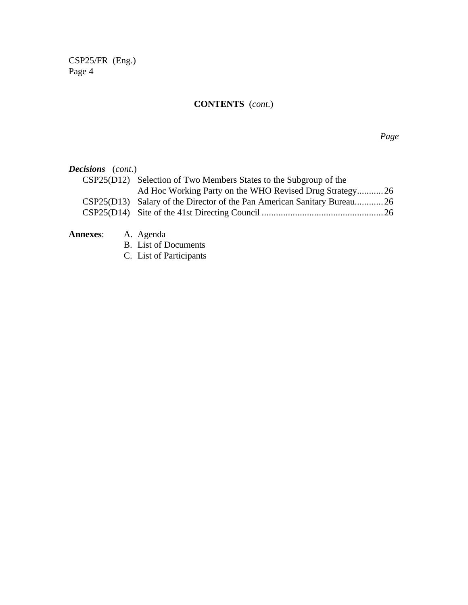# **CONTENTS** (*cont*.)

*Page*

| <b>Decisions</b> (cont.)  |                                                                          |  |
|---------------------------|--------------------------------------------------------------------------|--|
|                           | CSP25(D12) Selection of Two Members States to the Subgroup of the        |  |
|                           | Ad Hoc Working Party on the WHO Revised Drug Strategy26                  |  |
|                           | CSP25(D13) Salary of the Director of the Pan American Sanitary Bureau 26 |  |
|                           |                                                                          |  |
| <b>Annexes:</b> A. Agenda |                                                                          |  |
|                           |                                                                          |  |

- B. List of Documents
- C. List of Participants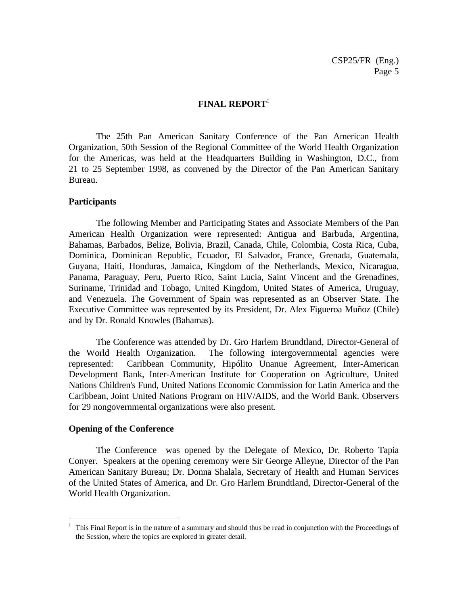#### **FINAL REPORT**<sup>1</sup>

The 25th Pan American Sanitary Conference of the Pan American Health Organization, 50th Session of the Regional Committee of the World Health Organization for the Americas, was held at the Headquarters Building in Washington, D.C., from 21 to 25 September 1998, as convened by the Director of the Pan American Sanitary Bureau.

#### **Participants**

The following Member and Participating States and Associate Members of the Pan American Health Organization were represented: Antigua and Barbuda, Argentina, Bahamas, Barbados, Belize, Bolivia, Brazil, Canada, Chile, Colombia, Costa Rica, Cuba, Dominica, Dominican Republic, Ecuador, El Salvador, France, Grenada, Guatemala, Guyana, Haiti, Honduras, Jamaica, Kingdom of the Netherlands, Mexico, Nicaragua, Panama, Paraguay, Peru, Puerto Rico, Saint Lucia, Saint Vincent and the Grenadines, Suriname, Trinidad and Tobago, United Kingdom, United States of America, Uruguay, and Venezuela. The Government of Spain was represented as an Observer State. The Executive Committee was represented by its President, Dr. Alex Figueroa Muñoz (Chile) and by Dr. Ronald Knowles (Bahamas).

The Conference was attended by Dr. Gro Harlem Brundtland, Director-General of the World Health Organization. The following intergovernmental agencies were represented: Caribbean Community, Hipólito Unanue Agreement, Inter-American Development Bank, Inter-American Institute for Cooperation on Agriculture, United Nations Children's Fund, United Nations Economic Commission for Latin America and the Caribbean, Joint United Nations Program on HIV/AIDS, and the World Bank. Observers for 29 nongovernmental organizations were also present.

#### **Opening of the Conference**

-

The Conference was opened by the Delegate of Mexico, Dr. Roberto Tapia Conyer. Speakers at the opening ceremony were Sir George Alleyne, Director of the Pan American Sanitary Bureau; Dr. Donna Shalala, Secretary of Health and Human Services of the United States of America, and Dr. Gro Harlem Brundtland, Director-General of the World Health Organization.

<sup>&</sup>lt;sup>1</sup> This Final Report is in the nature of a summary and should thus be read in conjunction with the Proceedings of the Session, where the topics are explored in greater detail.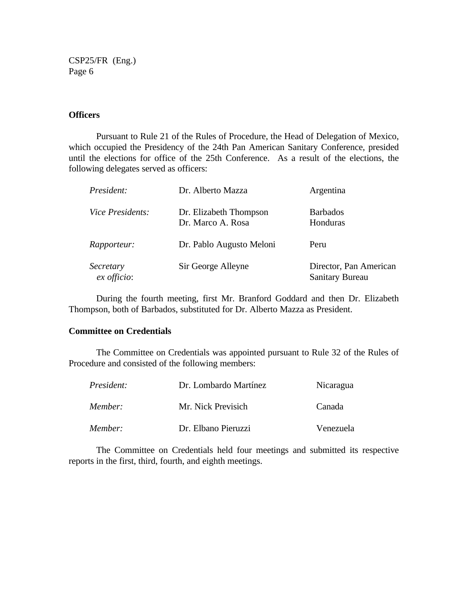#### **Officers**

Pursuant to Rule 21 of the Rules of Procedure, the Head of Delegation of Mexico, which occupied the Presidency of the 24th Pan American Sanitary Conference, presided until the elections for office of the 25th Conference. As a result of the elections, the following delegates served as officers:

| President:                 | Dr. Alberto Mazza                           | Argentina                                        |
|----------------------------|---------------------------------------------|--------------------------------------------------|
| Vice Presidents:           | Dr. Elizabeth Thompson<br>Dr. Marco A. Rosa | <b>Barbados</b><br>Honduras                      |
| Rapporteur:                | Dr. Pablo Augusto Meloni                    | Peru                                             |
| Secretary<br>$ex$ officio: | Sir George Alleyne                          | Director, Pan American<br><b>Sanitary Bureau</b> |

During the fourth meeting, first Mr. Branford Goddard and then Dr. Elizabeth Thompson, both of Barbados, substituted for Dr. Alberto Mazza as President.

#### **Committee on Credentials**

The Committee on Credentials was appointed pursuant to Rule 32 of the Rules of Procedure and consisted of the following members:

| President: | Dr. Lombardo Martínez | Nicaragua |
|------------|-----------------------|-----------|
| Member:    | Mr. Nick Previsich    | Canada    |
| Member:    | Dr. Elbano Pieruzzi   | Venezuela |

The Committee on Credentials held four meetings and submitted its respective reports in the first, third, fourth, and eighth meetings.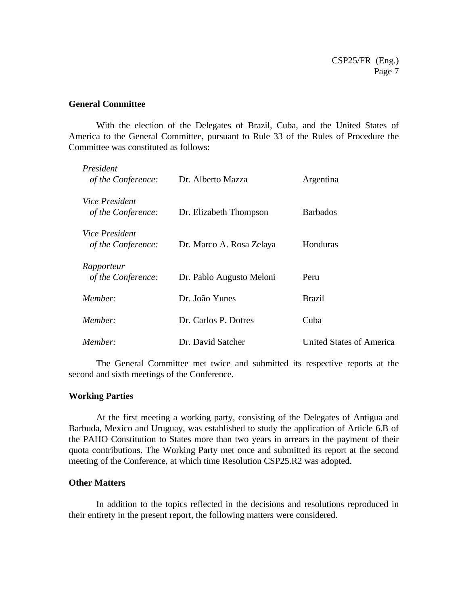#### **General Committee**

With the election of the Delegates of Brazil, Cuba, and the United States of America to the General Committee, pursuant to Rule 33 of the Rules of Procedure the Committee was constituted as follows:

| President<br>of the Conference:             | Dr. Alberto Mazza        | Argentina                       |
|---------------------------------------------|--------------------------|---------------------------------|
| <i>Vice President</i><br>of the Conference: | Dr. Elizabeth Thompson   | <b>Barbados</b>                 |
| <i>Vice President</i><br>of the Conference: | Dr. Marco A. Rosa Zelaya | Honduras                        |
| Rapporteur<br>of the Conference:            | Dr. Pablo Augusto Meloni | Peru                            |
| Member:                                     | Dr. João Yunes           | <b>Brazil</b>                   |
| Member:                                     | Dr. Carlos P. Dotres     | Cuba                            |
| Member:                                     | Dr. David Satcher        | <b>United States of America</b> |

The General Committee met twice and submitted its respective reports at the second and sixth meetings of the Conference.

#### **Working Parties**

At the first meeting a working party, consisting of the Delegates of Antigua and Barbuda, Mexico and Uruguay, was established to study the application of Article 6.B of the PAHO Constitution to States more than two years in arrears in the payment of their quota contributions. The Working Party met once and submitted its report at the second meeting of the Conference, at which time Resolution CSP25.R2 was adopted.

#### **Other Matters**

In addition to the topics reflected in the decisions and resolutions reproduced in their entirety in the present report, the following matters were considered.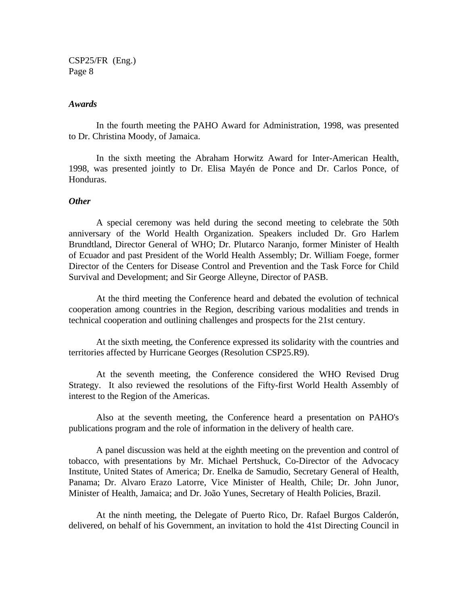#### *Awards*

In the fourth meeting the PAHO Award for Administration, 1998, was presented to Dr. Christina Moody, of Jamaica.

In the sixth meeting the Abraham Horwitz Award for Inter-American Health, 1998, was presented jointly to Dr. Elisa Mayén de Ponce and Dr. Carlos Ponce, of Honduras.

#### *Other*

A special ceremony was held during the second meeting to celebrate the 50th anniversary of the World Health Organization. Speakers included Dr. Gro Harlem Brundtland, Director General of WHO; Dr. Plutarco Naranjo, former Minister of Health of Ecuador and past President of the World Health Assembly; Dr. William Foege, former Director of the Centers for Disease Control and Prevention and the Task Force for Child Survival and Development; and Sir George Alleyne, Director of PASB.

At the third meeting the Conference heard and debated the evolution of technical cooperation among countries in the Region, describing various modalities and trends in technical cooperation and outlining challenges and prospects for the 21st century.

At the sixth meeting, the Conference expressed its solidarity with the countries and territories affected by Hurricane Georges (Resolution CSP25.R9).

At the seventh meeting, the Conference considered the WHO Revised Drug Strategy. It also reviewed the resolutions of the Fifty-first World Health Assembly of interest to the Region of the Americas.

Also at the seventh meeting, the Conference heard a presentation on PAHO's publications program and the role of information in the delivery of health care.

A panel discussion was held at the eighth meeting on the prevention and control of tobacco, with presentations by Mr. Michael Pertshuck, Co-Director of the Advocacy Institute, United States of America; Dr. Enelka de Samudio, Secretary General of Health, Panama; Dr. Alvaro Erazo Latorre, Vice Minister of Health, Chile; Dr. John Junor, Minister of Health, Jamaica; and Dr. João Yunes, Secretary of Health Policies, Brazil.

At the ninth meeting, the Delegate of Puerto Rico, Dr. Rafael Burgos Calderón, delivered, on behalf of his Government, an invitation to hold the 41st Directing Council in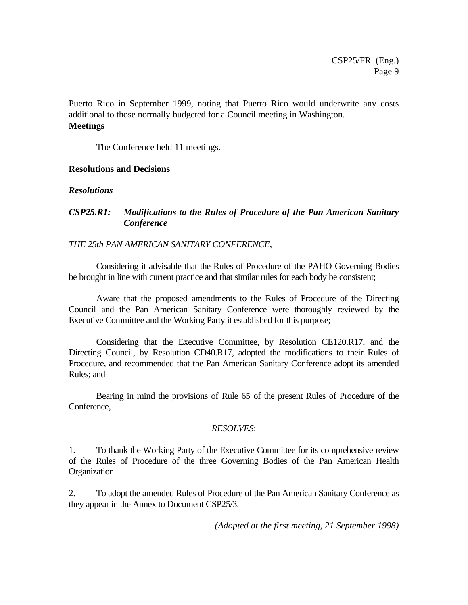Puerto Rico in September 1999, noting that Puerto Rico would underwrite any costs additional to those normally budgeted for a Council meeting in Washington. **Meetings**

The Conference held 11 meetings.

### **Resolutions and Decisions**

### *Resolutions*

## *CSP25.R1: Modifications to the Rules of Procedure of the Pan American Sanitary Conference*

### *THE 25th PAN AMERICAN SANITARY CONFERENCE*,

Considering it advisable that the Rules of Procedure of the PAHO Governing Bodies be brought in line with current practice and that similar rules for each body be consistent;

Aware that the proposed amendments to the Rules of Procedure of the Directing Council and the Pan American Sanitary Conference were thoroughly reviewed by the Executive Committee and the Working Party it established for this purpose;

Considering that the Executive Committee, by Resolution CE120.R17, and the Directing Council, by Resolution CD40.R17, adopted the modifications to their Rules of Procedure, and recommended that the Pan American Sanitary Conference adopt its amended Rules; and

Bearing in mind the provisions of Rule 65 of the present Rules of Procedure of the Conference,

#### *RESOLVES*:

1. To thank the Working Party of the Executive Committee for its comprehensive review of the Rules of Procedure of the three Governing Bodies of the Pan American Health Organization.

2. To adopt the amended Rules of Procedure of the Pan American Sanitary Conference as they appear in the Annex to Document CSP25/3.

 *(Adopted at the first meeting, 21 September 1998)*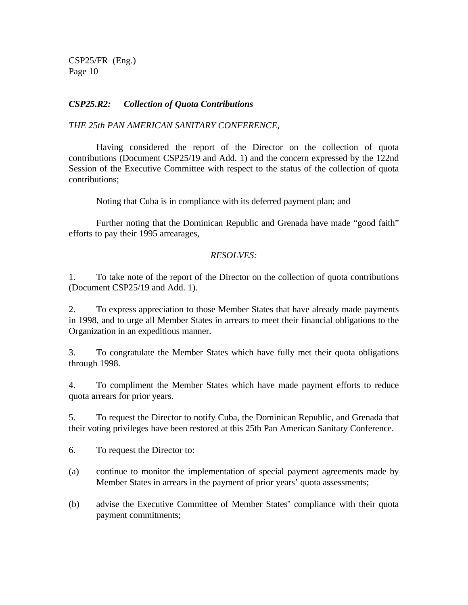### *CSP25.R2: Collection of Quota Contributions*

### *THE 25th PAN AMERICAN SANITARY CONFERENCE,*

Having considered the report of the Director on the collection of quota contributions (Document CSP25/19 and Add. 1) and the concern expressed by the 122nd Session of the Executive Committee with respect to the status of the collection of quota contributions;

Noting that Cuba is in compliance with its deferred payment plan; and

Further noting that the Dominican Republic and Grenada have made "good faith" efforts to pay their 1995 arrearages,

### *RESOLVES:*

1. To take note of the report of the Director on the collection of quota contributions (Document CSP25/19 and Add. 1).

2. To express appreciation to those Member States that have already made payments in 1998, and to urge all Member States in arrears to meet their financial obligations to the Organization in an expeditious manner.

3. To congratulate the Member States which have fully met their quota obligations through 1998.

4. To compliment the Member States which have made payment efforts to reduce quota arrears for prior years.

5. To request the Director to notify Cuba, the Dominican Republic, and Grenada that their voting privileges have been restored at this 25th Pan American Sanitary Conference.

6. To request the Director to:

- (a) continue to monitor the implementation of special payment agreements made by Member States in arrears in the payment of prior years' quota assessments;
- (b) advise the Executive Committee of Member States' compliance with their quota payment commitments;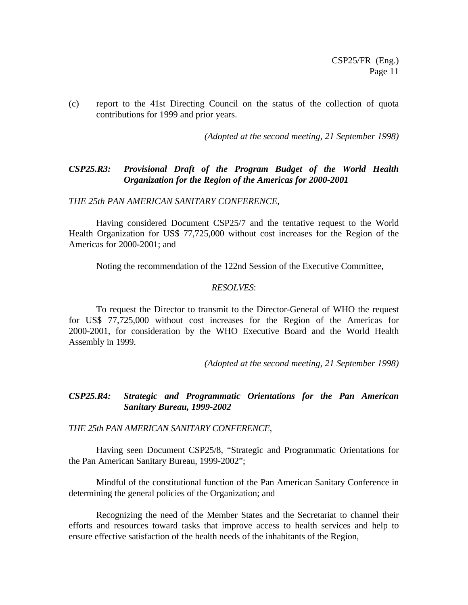(c) report to the 41st Directing Council on the status of the collection of quota contributions for 1999 and prior years.

 *(Adopted at the second meeting, 21 September 1998)*

### *CSP25.R3: Provisional Draft of the Program Budget of the World Health Organization for the Region of the Americas for 2000-2001*

*THE 25th PAN AMERICAN SANITARY CONFERENCE,*

Having considered Document CSP25/7 and the tentative request to the World Health Organization for US\$ 77,725,000 without cost increases for the Region of the Americas for 2000-2001; and

Noting the recommendation of the 122nd Session of the Executive Committee,

#### *RESOLVES*:

To request the Director to transmit to the Director-General of WHO the request for US\$ 77,725,000 without cost increases for the Region of the Americas for 2000-2001, for consideration by the WHO Executive Board and the World Health Assembly in 1999.

 *(Adopted at the second meeting, 21 September 1998)*

#### *CSP25.R4: Strategic and Programmatic Orientations for the Pan American Sanitary Bureau, 1999-2002*

*THE 25th PAN AMERICAN SANITARY CONFERENCE*,

Having seen Document CSP25/8, "Strategic and Programmatic Orientations for the Pan American Sanitary Bureau, 1999-2002";

Mindful of the constitutional function of the Pan American Sanitary Conference in determining the general policies of the Organization; and

Recognizing the need of the Member States and the Secretariat to channel their efforts and resources toward tasks that improve access to health services and help to ensure effective satisfaction of the health needs of the inhabitants of the Region,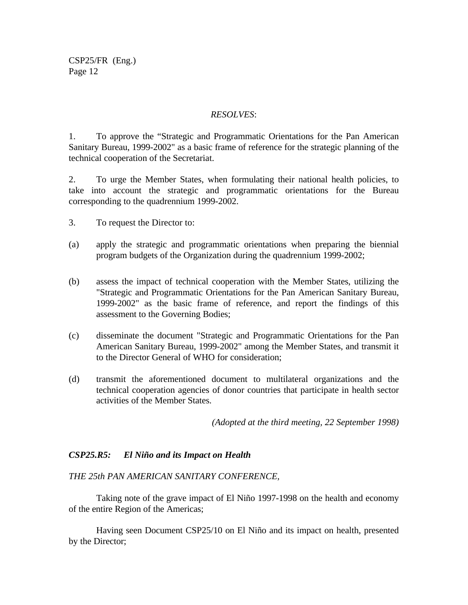#### *RESOLVES*:

1. To approve the "Strategic and Programmatic Orientations for the Pan American Sanitary Bureau, 1999-2002" as a basic frame of reference for the strategic planning of the technical cooperation of the Secretariat.

2. To urge the Member States, when formulating their national health policies, to take into account the strategic and programmatic orientations for the Bureau corresponding to the quadrennium 1999-2002.

- 3. To request the Director to:
- (a) apply the strategic and programmatic orientations when preparing the biennial program budgets of the Organization during the quadrennium 1999-2002;
- (b) assess the impact of technical cooperation with the Member States, utilizing the "Strategic and Programmatic Orientations for the Pan American Sanitary Bureau, 1999-2002" as the basic frame of reference, and report the findings of this assessment to the Governing Bodies;
- (c) disseminate the document "Strategic and Programmatic Orientations for the Pan American Sanitary Bureau, 1999-2002" among the Member States, and transmit it to the Director General of WHO for consideration;
- (d) transmit the aforementioned document to multilateral organizations and the technical cooperation agencies of donor countries that participate in health sector activities of the Member States.

*(Adopted at the third meeting, 22 September 1998)*

#### *CSP25.R5: El Niño and its Impact on Health*

#### *THE 25th PAN AMERICAN SANITARY CONFERENCE,*

Taking note of the grave impact of El Niño 1997-1998 on the health and economy of the entire Region of the Americas;

Having seen Document CSP25/10 on El Niño and its impact on health, presented by the Director;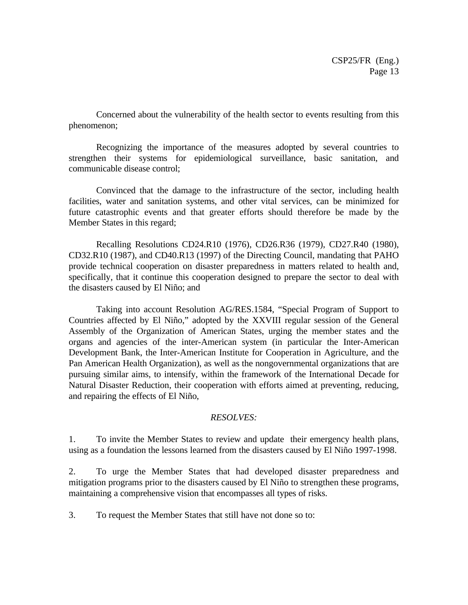Concerned about the vulnerability of the health sector to events resulting from this phenomenon;

Recognizing the importance of the measures adopted by several countries to strengthen their systems for epidemiological surveillance, basic sanitation, and communicable disease control;

Convinced that the damage to the infrastructure of the sector, including health facilities, water and sanitation systems, and other vital services, can be minimized for future catastrophic events and that greater efforts should therefore be made by the Member States in this regard;

Recalling Resolutions CD24.R10 (1976), CD26.R36 (1979), CD27.R40 (1980), CD32.R10 (1987), and CD40.R13 (1997) of the Directing Council, mandating that PAHO provide technical cooperation on disaster preparedness in matters related to health and, specifically, that it continue this cooperation designed to prepare the sector to deal with the disasters caused by El Niño; and

Taking into account Resolution AG/RES.1584, "Special Program of Support to Countries affected by El Niño," adopted by the XXVIII regular session of the General Assembly of the Organization of American States, urging the member states and the organs and agencies of the inter-American system (in particular the Inter-American Development Bank, the Inter-American Institute for Cooperation in Agriculture, and the Pan American Health Organization), as well as the nongovernmental organizations that are pursuing similar aims, to intensify, within the framework of the International Decade for Natural Disaster Reduction, their cooperation with efforts aimed at preventing, reducing, and repairing the effects of El Niño,

#### *RESOLVES:*

1. To invite the Member States to review and update their emergency health plans, using as a foundation the lessons learned from the disasters caused by El Niño 1997-1998.

2. To urge the Member States that had developed disaster preparedness and mitigation programs prior to the disasters caused by El Niño to strengthen these programs, maintaining a comprehensive vision that encompasses all types of risks.

3. To request the Member States that still have not done so to: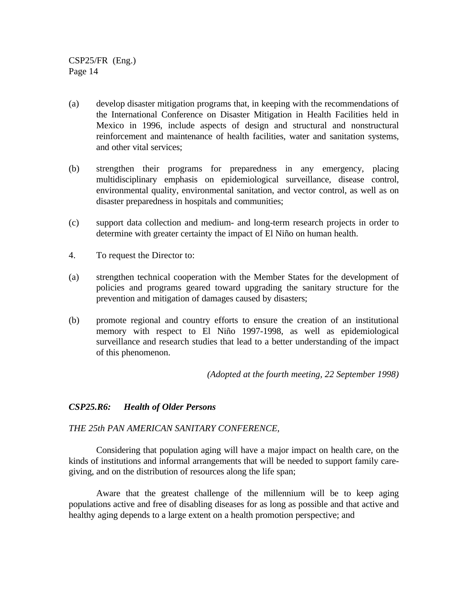- (a) develop disaster mitigation programs that, in keeping with the recommendations of the International Conference on Disaster Mitigation in Health Facilities held in Mexico in 1996, include aspects of design and structural and nonstructural reinforcement and maintenance of health facilities, water and sanitation systems, and other vital services;
- (b) strengthen their programs for preparedness in any emergency, placing multidisciplinary emphasis on epidemiological surveillance, disease control, environmental quality, environmental sanitation, and vector control, as well as on disaster preparedness in hospitals and communities;
- (c) support data collection and medium- and long-term research projects in order to determine with greater certainty the impact of El Niño on human health.
- 4. To request the Director to:
- (a) strengthen technical cooperation with the Member States for the development of policies and programs geared toward upgrading the sanitary structure for the prevention and mitigation of damages caused by disasters;
- (b) promote regional and country efforts to ensure the creation of an institutional memory with respect to El Niño 1997-1998, as well as epidemiological surveillance and research studies that lead to a better understanding of the impact of this phenomenon.

*(Adopted at the fourth meeting, 22 September 1998)*

#### *CSP25.R6: Health of Older Persons*

#### *THE 25th PAN AMERICAN SANITARY CONFERENCE,*

Considering that population aging will have a major impact on health care, on the kinds of institutions and informal arrangements that will be needed to support family caregiving, and on the distribution of resources along the life span;

Aware that the greatest challenge of the millennium will be to keep aging populations active and free of disabling diseases for as long as possible and that active and healthy aging depends to a large extent on a health promotion perspective; and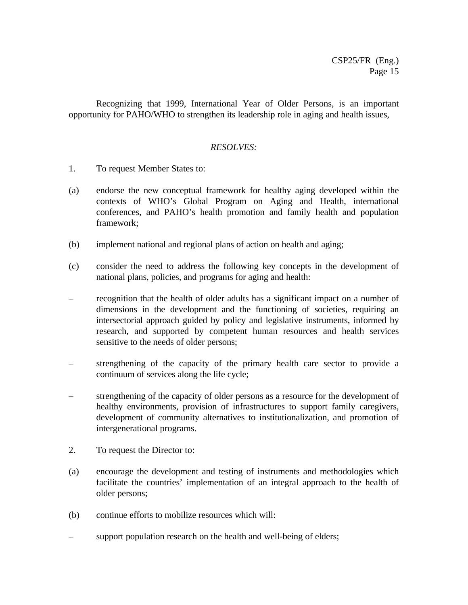Recognizing that 1999, International Year of Older Persons, is an important opportunity for PAHO/WHO to strengthen its leadership role in aging and health issues,

#### *RESOLVES:*

- 1. To request Member States to:
- (a) endorse the new conceptual framework for healthy aging developed within the contexts of WHO's Global Program on Aging and Health, international conferences, and PAHO's health promotion and family health and population framework;
- (b) implement national and regional plans of action on health and aging;
- (c) consider the need to address the following key concepts in the development of national plans, policies, and programs for aging and health:
- recognition that the health of older adults has a significant impact on a number of dimensions in the development and the functioning of societies, requiring an intersectorial approach guided by policy and legislative instruments, informed by research, and supported by competent human resources and health services sensitive to the needs of older persons;
- strengthening of the capacity of the primary health care sector to provide a continuum of services along the life cycle;
- strengthening of the capacity of older persons as a resource for the development of healthy environments, provision of infrastructures to support family caregivers, development of community alternatives to institutionalization, and promotion of intergenerational programs.
- 2. To request the Director to:
- (a) encourage the development and testing of instruments and methodologies which facilitate the countries' implementation of an integral approach to the health of older persons;
- (b) continue efforts to mobilize resources which will:
- support population research on the health and well-being of elders;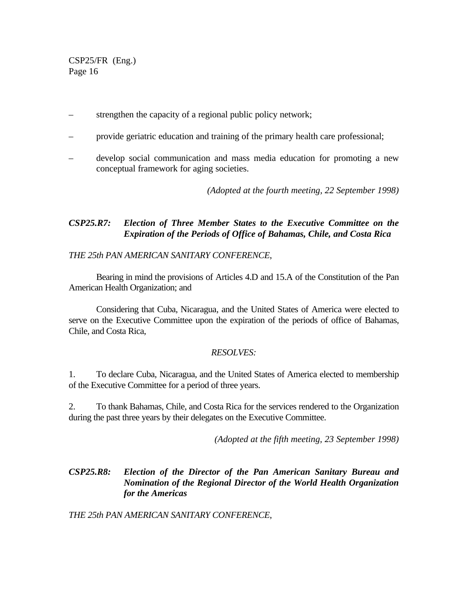- strengthen the capacity of a regional public policy network;
- provide geriatric education and training of the primary health care professional;
- develop social communication and mass media education for promoting a new conceptual framework for aging societies.

*(Adopted at the fourth meeting, 22 September 1998)*

## *CSP25.R7: Election of Three Member States to the Executive Committee on the Expiration of the Periods of Office of Bahamas, Chile, and Costa Rica*

#### *THE 25th PAN AMERICAN SANITARY CONFERENCE*,

Bearing in mind the provisions of Articles 4.D and 15.A of the Constitution of the Pan American Health Organization; and

Considering that Cuba, Nicaragua, and the United States of America were elected to serve on the Executive Committee upon the expiration of the periods of office of Bahamas, Chile, and Costa Rica,

#### *RESOLVES:*

1. To declare Cuba, Nicaragua, and the United States of America elected to membership of the Executive Committee for a period of three years.

2. To thank Bahamas, Chile, and Costa Rica for the services rendered to the Organization during the past three years by their delegates on the Executive Committee.

*(Adopted at the fifth meeting, 23 September 1998)*

## *CSP25.R8: Election of the Director of the Pan American Sanitary Bureau and Nomination of the Regional Director of the World Health Organization for the Americas*

*THE 25th PAN AMERICAN SANITARY CONFERENCE*,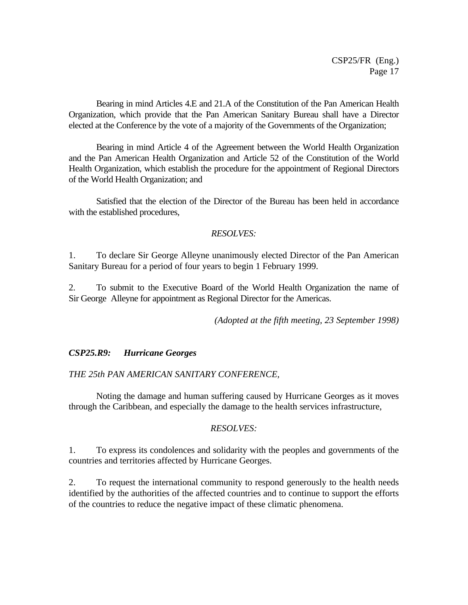Bearing in mind Articles 4.E and 21.A of the Constitution of the Pan American Health Organization, which provide that the Pan American Sanitary Bureau shall have a Director elected at the Conference by the vote of a majority of the Governments of the Organization;

Bearing in mind Article 4 of the Agreement between the World Health Organization and the Pan American Health Organization and Article 52 of the Constitution of the World Health Organization, which establish the procedure for the appointment of Regional Directors of the World Health Organization; and

Satisfied that the election of the Director of the Bureau has been held in accordance with the established procedures,

#### *RESOLVES:*

1. To declare Sir George Alleyne unanimously elected Director of the Pan American Sanitary Bureau for a period of four years to begin 1 February 1999.

2. To submit to the Executive Board of the World Health Organization the name of Sir George Alleyne for appointment as Regional Director for the Americas.

*(Adopted at the fifth meeting, 23 September 1998)*

#### *CSP25.R9: Hurricane Georges*

#### *THE 25th PAN AMERICAN SANITARY CONFERENCE,*

Noting the damage and human suffering caused by Hurricane Georges as it moves through the Caribbean, and especially the damage to the health services infrastructure,

#### *RESOLVES:*

1. To express its condolences and solidarity with the peoples and governments of the countries and territories affected by Hurricane Georges.

2. To request the international community to respond generously to the health needs identified by the authorities of the affected countries and to continue to support the efforts of the countries to reduce the negative impact of these climatic phenomena.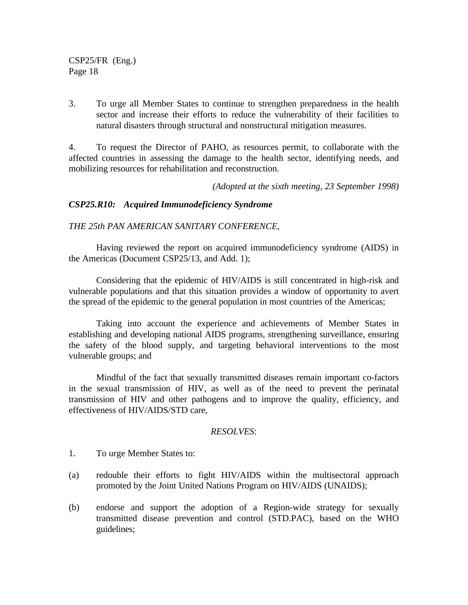3. To urge all Member States to continue to strengthen preparedness in the health sector and increase their efforts to reduce the vulnerability of their facilities to natural disasters through structural and nonstructural mitigation measures.

4. To request the Director of PAHO, as resources permit, to collaborate with the affected countries in assessing the damage to the health sector, identifying needs, and mobilizing resources for rehabilitation and reconstruction.

*(Adopted at the sixth meeting, 23 September 1998)*

#### *CSP25.R10: Acquired Immunodeficiency Syndrome*

#### *THE 25th PAN AMERICAN SANITARY CONFERENCE,*

Having reviewed the report on acquired immunodeficiency syndrome (AIDS) in the Americas (Document CSP25/13, and Add. 1);

Considering that the epidemic of HIV/AIDS is still concentrated in high-risk and vulnerable populations and that this situation provides a window of opportunity to avert the spread of the epidemic to the general population in most countries of the Americas;

Taking into account the experience and achievements of Member States in establishing and developing national AIDS programs, strengthening surveillance, ensuring the safety of the blood supply, and targeting behavioral interventions to the most vulnerable groups; and

Mindful of the fact that sexually transmitted diseases remain important co-factors in the sexual transmission of HIV, as well as of the need to prevent the perinatal transmission of HIV and other pathogens and to improve the quality, efficiency, and effectiveness of HIV/AIDS/STD care,

#### *RESOLVES*:

- 1. To urge Member States to:
- (a) redouble their efforts to fight HIV/AIDS within the multisectoral approach promoted by the Joint United Nations Program on HIV/AIDS (UNAIDS);
- (b) endorse and support the adoption of a Region-wide strategy for sexually transmitted disease prevention and control (STD.PAC), based on the WHO guidelines;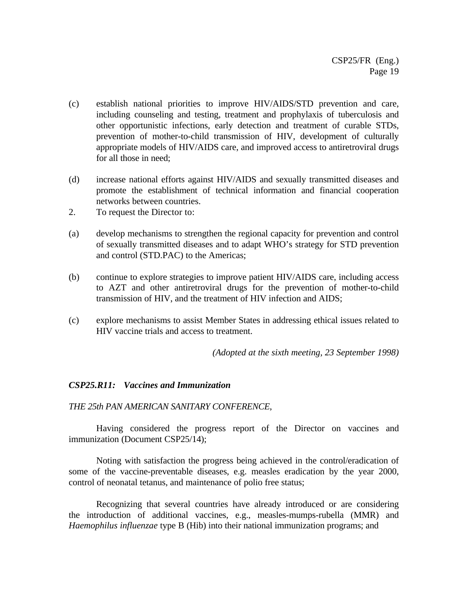- (c) establish national priorities to improve HIV/AIDS/STD prevention and care, including counseling and testing, treatment and prophylaxis of tuberculosis and other opportunistic infections, early detection and treatment of curable STDs, prevention of mother-to-child transmission of HIV, development of culturally appropriate models of HIV/AIDS care, and improved access to antiretroviral drugs for all those in need;
- (d) increase national efforts against HIV/AIDS and sexually transmitted diseases and promote the establishment of technical information and financial cooperation networks between countries.
- 2. To request the Director to:
- (a) develop mechanisms to strengthen the regional capacity for prevention and control of sexually transmitted diseases and to adapt WHO's strategy for STD prevention and control (STD.PAC) to the Americas;
- (b) continue to explore strategies to improve patient HIV/AIDS care, including access to AZT and other antiretroviral drugs for the prevention of mother-to-child transmission of HIV, and the treatment of HIV infection and AIDS;
- (c) explore mechanisms to assist Member States in addressing ethical issues related to HIV vaccine trials and access to treatment.

*(Adopted at the sixth meeting, 23 September 1998)*

#### *CSP25.R11: Vaccines and Immunization*

#### *THE 25th PAN AMERICAN SANITARY CONFERENCE*,

Having considered the progress report of the Director on vaccines and immunization (Document CSP25/14);

Noting with satisfaction the progress being achieved in the control/eradication of some of the vaccine-preventable diseases, e.g. measles eradication by the year 2000, control of neonatal tetanus, and maintenance of polio free status;

Recognizing that several countries have already introduced or are considering the introduction of additional vaccines, e.g., measles-mumps-rubella (MMR) and *Haemophilus influenzae* type B (Hib) into their national immunization programs; and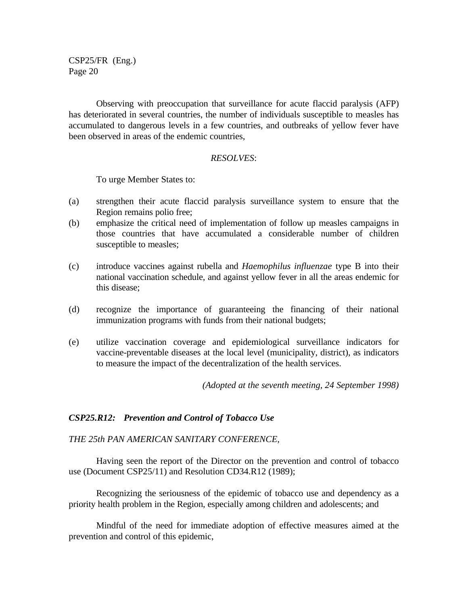Observing with preoccupation that surveillance for acute flaccid paralysis (AFP) has deteriorated in several countries, the number of individuals susceptible to measles has accumulated to dangerous levels in a few countries, and outbreaks of yellow fever have been observed in areas of the endemic countries,

#### *RESOLVES*:

To urge Member States to:

- (a) strengthen their acute flaccid paralysis surveillance system to ensure that the Region remains polio free;
- (b) emphasize the critical need of implementation of follow up measles campaigns in those countries that have accumulated a considerable number of children susceptible to measles;
- (c) introduce vaccines against rubella and *Haemophilus influenzae* type B into their national vaccination schedule, and against yellow fever in all the areas endemic for this disease;
- (d) recognize the importance of guaranteeing the financing of their national immunization programs with funds from their national budgets;
- (e) utilize vaccination coverage and epidemiological surveillance indicators for vaccine-preventable diseases at the local level (municipality, district), as indicators to measure the impact of the decentralization of the health services.

*(Adopted at the seventh meeting, 24 September 1998)*

#### *CSP25.R12: Prevention and Control of Tobacco Use*

*THE 25th PAN AMERICAN SANITARY CONFERENCE,*

Having seen the report of the Director on the prevention and control of tobacco use (Document CSP25/11) and Resolution CD34.R12 (1989);

Recognizing the seriousness of the epidemic of tobacco use and dependency as a priority health problem in the Region, especially among children and adolescents; and

Mindful of the need for immediate adoption of effective measures aimed at the prevention and control of this epidemic,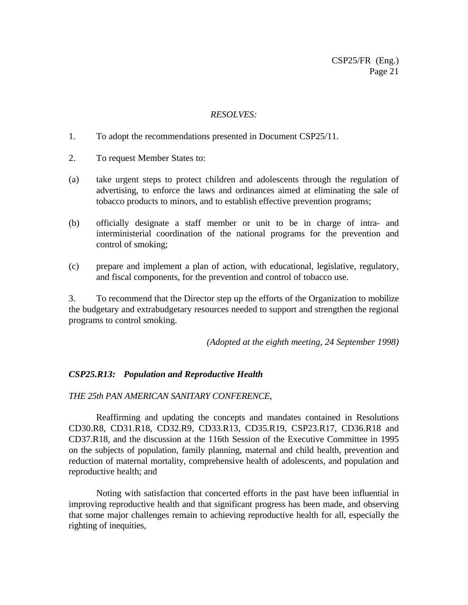#### *RESOLVES:*

- 1. To adopt the recommendations presented in Document CSP25/11.
- 2. To request Member States to:
- (a) take urgent steps to protect children and adolescents through the regulation of advertising, to enforce the laws and ordinances aimed at eliminating the sale of tobacco products to minors, and to establish effective prevention programs;
- (b) officially designate a staff member or unit to be in charge of intra- and interministerial coordination of the national programs for the prevention and control of smoking;
- (c) prepare and implement a plan of action, with educational, legislative, regulatory, and fiscal components, for the prevention and control of tobacco use.

3. To recommend that the Director step up the efforts of the Organization to mobilize the budgetary and extrabudgetary resources needed to support and strengthen the regional programs to control smoking.

*(Adopted at the eighth meeting, 24 September 1998)*

#### *CSP25.R13: Population and Reproductive Health*

#### *THE 25th PAN AMERICAN SANITARY CONFERENCE*,

Reaffirming and updating the concepts and mandates contained in Resolutions CD30.R8, CD31.R18, CD32.R9, CD33.R13, CD35.R19, CSP23.R17, CD36.R18 and CD37.R18, and the discussion at the 116th Session of the Executive Committee in 1995 on the subjects of population, family planning, maternal and child health, prevention and reduction of maternal mortality, comprehensive health of adolescents, and population and reproductive health; and

Noting with satisfaction that concerted efforts in the past have been influential in improving reproductive health and that significant progress has been made, and observing that some major challenges remain to achieving reproductive health for all, especially the righting of inequities,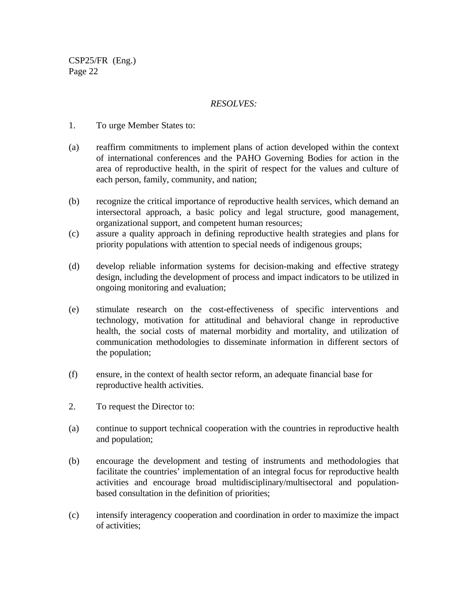#### *RESOLVES:*

- 1. To urge Member States to:
- (a) reaffirm commitments to implement plans of action developed within the context of international conferences and the PAHO Governing Bodies for action in the area of reproductive health, in the spirit of respect for the values and culture of each person, family, community, and nation;
- (b) recognize the critical importance of reproductive health services, which demand an intersectoral approach, a basic policy and legal structure, good management, organizational support, and competent human resources;
- (c) assure a quality approach in defining reproductive health strategies and plans for priority populations with attention to special needs of indigenous groups;
- (d) develop reliable information systems for decision-making and effective strategy design, including the development of process and impact indicators to be utilized in ongoing monitoring and evaluation;
- (e) stimulate research on the cost-effectiveness of specific interventions and technology, motivation for attitudinal and behavioral change in reproductive health, the social costs of maternal morbidity and mortality, and utilization of communication methodologies to disseminate information in different sectors of the population;
- (f) ensure, in the context of health sector reform, an adequate financial base for reproductive health activities.
- 2. To request the Director to:
- (a) continue to support technical cooperation with the countries in reproductive health and population;
- (b) encourage the development and testing of instruments and methodologies that facilitate the countries' implementation of an integral focus for reproductive health activities and encourage broad multidisciplinary/multisectoral and populationbased consultation in the definition of priorities;
- (c) intensify interagency cooperation and coordination in order to maximize the impact of activities;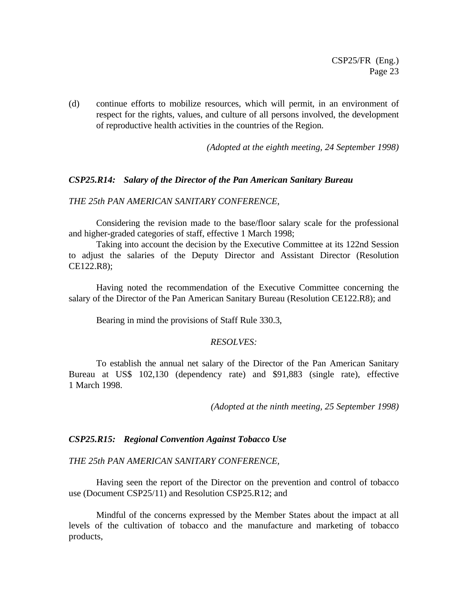(d) continue efforts to mobilize resources, which will permit, in an environment of respect for the rights, values, and culture of all persons involved, the development of reproductive health activities in the countries of the Region.

*(Adopted at the eighth meeting, 24 September 1998)*

#### *CSP25.R14: Salary of the Director of the Pan American Sanitary Bureau*

#### *THE 25th PAN AMERICAN SANITARY CONFERENCE*,

Considering the revision made to the base/floor salary scale for the professional and higher-graded categories of staff, effective 1 March 1998;

Taking into account the decision by the Executive Committee at its 122nd Session to adjust the salaries of the Deputy Director and Assistant Director (Resolution CE122.R8);

Having noted the recommendation of the Executive Committee concerning the salary of the Director of the Pan American Sanitary Bureau (Resolution CE122.R8); and

Bearing in mind the provisions of Staff Rule 330.3,

#### *RESOLVES:*

To establish the annual net salary of the Director of the Pan American Sanitary Bureau at US\$ 102,130 (dependency rate) and \$91,883 (single rate), effective 1 March 1998.

*(Adopted at the ninth meeting, 25 September 1998)*

#### *CSP25.R15: Regional Convention Against Tobacco Use*

#### *THE 25th PAN AMERICAN SANITARY CONFERENCE,*

Having seen the report of the Director on the prevention and control of tobacco use (Document CSP25/11) and Resolution CSP25.R12; and

Mindful of the concerns expressed by the Member States about the impact at all levels of the cultivation of tobacco and the manufacture and marketing of tobacco products,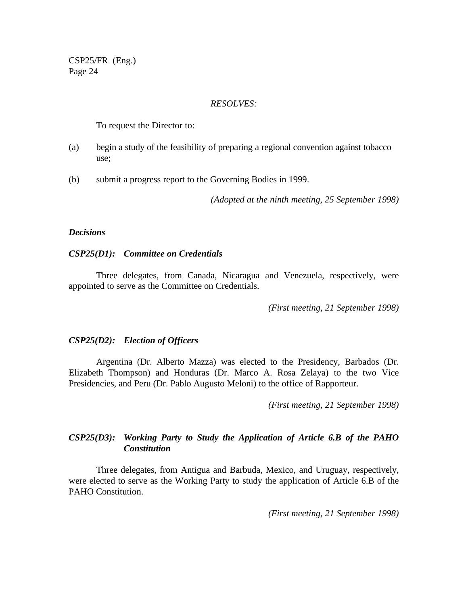#### *RESOLVES:*

To request the Director to:

- (a) begin a study of the feasibility of preparing a regional convention against tobacco use;
- (b) submit a progress report to the Governing Bodies in 1999.

*(Adopted at the ninth meeting, 25 September 1998)*

#### *Decisions*

#### *CSP25(D1): Committee on Credentials*

Three delegates, from Canada, Nicaragua and Venezuela, respectively, were appointed to serve as the Committee on Credentials.

*(First meeting, 21 September 1998)*

#### *CSP25(D2): Election of Officers*

Argentina (Dr. Alberto Mazza) was elected to the Presidency, Barbados (Dr. Elizabeth Thompson) and Honduras (Dr. Marco A. Rosa Zelaya) to the two Vice Presidencies, and Peru (Dr. Pablo Augusto Meloni) to the office of Rapporteur.

*(First meeting, 21 September 1998)*

### *CSP25(D3): Working Party to Study the Application of Article 6.B of the PAHO Constitution*

Three delegates, from Antigua and Barbuda, Mexico, and Uruguay, respectively, were elected to serve as the Working Party to study the application of Article 6.B of the PAHO Constitution.

*(First meeting, 21 September 1998)*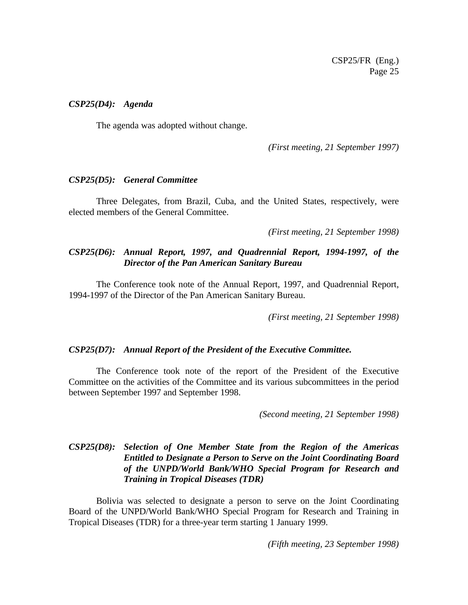#### *CSP25(D4): Agenda*

The agenda was adopted without change.

*(First meeting, 21 September 1997)*

#### *CSP25(D5): General Committee*

Three Delegates, from Brazil, Cuba, and the United States, respectively, were elected members of the General Committee.

*(First meeting, 21 September 1998)*

### *CSP25(D6): Annual Report, 1997, and Quadrennial Report, 1994-1997, of the Director of the Pan American Sanitary Bureau*

The Conference took note of the Annual Report, 1997, and Quadrennial Report, 1994-1997 of the Director of the Pan American Sanitary Bureau.

*(First meeting, 21 September 1998)*

#### *CSP25(D7): Annual Report of the President of the Executive Committee.*

The Conference took note of the report of the President of the Executive Committee on the activities of the Committee and its various subcommittees in the period between September 1997 and September 1998.

*(Second meeting, 21 September 1998)*

## *CSP25(D8): Selection of One Member State from the Region of the Americas Entitled to Designate a Person to Serve on the Joint Coordinating Board of the UNPD/World Bank/WHO Special Program for Research and Training in Tropical Diseases (TDR)*

Bolivia was selected to designate a person to serve on the Joint Coordinating Board of the UNPD/World Bank/WHO Special Program for Research and Training in Tropical Diseases (TDR) for a three-year term starting 1 January 1999.

*(Fifth meeting, 23 September 1998)*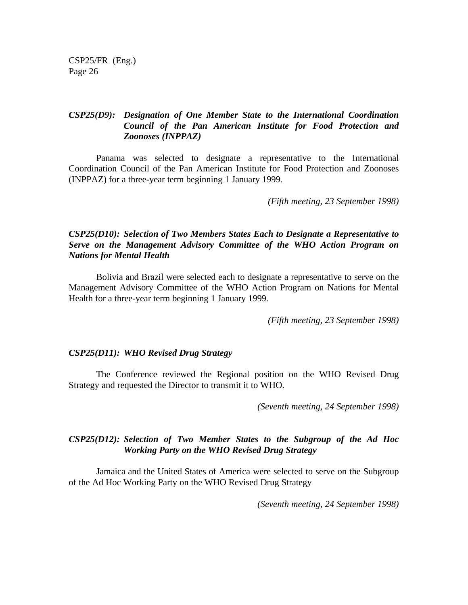## *CSP25(D9): Designation of One Member State to the International Coordination Council of the Pan American Institute for Food Protection and Zoonoses (INPPAZ)*

Panama was selected to designate a representative to the International Coordination Council of the Pan American Institute for Food Protection and Zoonoses (INPPAZ) for a three-year term beginning 1 January 1999.

*(Fifth meeting, 23 September 1998)*

### *CSP25(D10): Selection of Two Members States Each to Designate a Representative to Serve on the Management Advisory Committee of the WHO Action Program on Nations for Mental Health*

Bolivia and Brazil were selected each to designate a representative to serve on the Management Advisory Committee of the WHO Action Program on Nations for Mental Health for a three-year term beginning 1 January 1999.

*(Fifth meeting, 23 September 1998)*

### *CSP25(D11): WHO Revised Drug Strategy*

The Conference reviewed the Regional position on the WHO Revised Drug Strategy and requested the Director to transmit it to WHO.

*(Seventh meeting, 24 September 1998)*

### *CSP25(D12): Selection of Two Member States to the Subgroup of the Ad Hoc Working Party on the WHO Revised Drug Strategy*

Jamaica and the United States of America were selected to serve on the Subgroup of the Ad Hoc Working Party on the WHO Revised Drug Strategy

*(Seventh meeting, 24 September 1998)*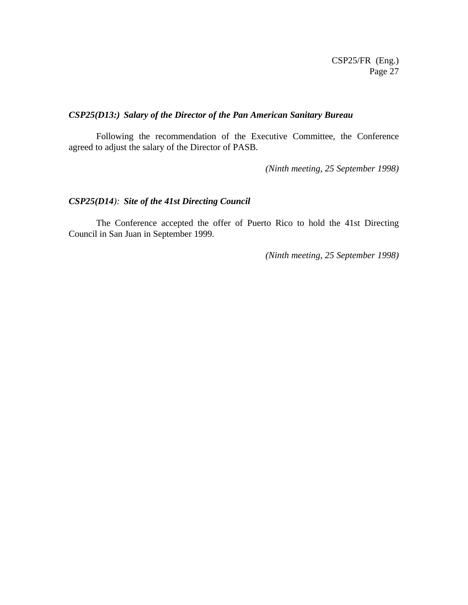## *CSP25(D13:) Salary of the Director of the Pan American Sanitary Bureau*

Following the recommendation of the Executive Committee, the Conference agreed to adjust the salary of the Director of PASB.

*(Ninth meeting, 25 September 1998)*

#### *CSP25(D14): Site of the 41st Directing Council*

The Conference accepted the offer of Puerto Rico to hold the 41st Directing Council in San Juan in September 1999.

*(Ninth meeting, 25 September 1998)*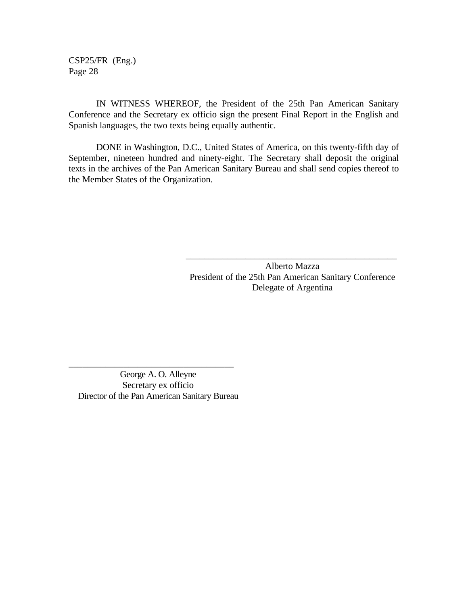IN WITNESS WHEREOF, the President of the 25th Pan American Sanitary Conference and the Secretary ex officio sign the present Final Report in the English and Spanish languages, the two texts being equally authentic.

DONE in Washington, D.C., United States of America, on this twenty-fifth day of September, nineteen hundred and ninety-eight. The Secretary shall deposit the original texts in the archives of the Pan American Sanitary Bureau and shall send copies thereof to the Member States of the Organization.

> Alberto Mazza President of the 25th Pan American Sanitary Conference Delegate of Argentina

> \_\_\_\_\_\_\_\_\_\_\_\_\_\_\_\_\_\_\_\_\_\_\_\_\_\_\_\_\_\_\_\_\_\_\_\_\_\_\_\_\_\_\_\_\_\_

George A. O. Alleyne Secretary ex officio Director of the Pan American Sanitary Bureau

\_\_\_\_\_\_\_\_\_\_\_\_\_\_\_\_\_\_\_\_\_\_\_\_\_\_\_\_\_\_\_\_\_\_\_\_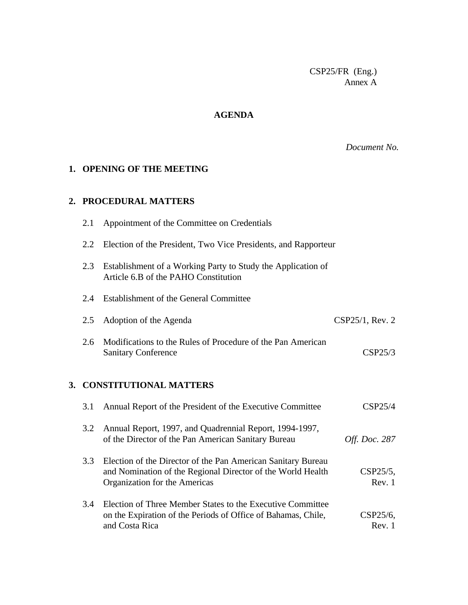CSP25/FR (Eng.) Annex A

## **AGENDA**

*Document No.*

## **1. OPENING OF THE MEETING**

#### **2. PROCEDURAL MATTERS**

| 2.1 | Appointment of the Committee on Credentials                                                                                 |                      |
|-----|-----------------------------------------------------------------------------------------------------------------------------|----------------------|
| 2.2 | Election of the President, Two Vice Presidents, and Rapporteur                                                              |                      |
| 2.3 | Establishment of a Working Party to Study the Application of<br>Article 6.B of the PAHO Constitution                        |                      |
| 2.4 | <b>Establishment of the General Committee</b>                                                                               |                      |
| 2.5 | Adoption of the Agenda                                                                                                      | CSP25/1, Rev. 2      |
| 2.6 | Modifications to the Rules of Procedure of the Pan American<br><b>Sanitary Conference</b>                                   | CSP25/3              |
|     | 3. CONSTITUTIONAL MATTERS                                                                                                   |                      |
| 3.1 | Annual Report of the President of the Executive Committee                                                                   | CSP25/4              |
| 3.2 | Annual Report, 1997, and Quadrennial Report, 1994-1997,<br>of the Director of the Pan American Sanitary Bureau              | <i>Off. Doc.</i> 287 |
| 3.3 | Election of the Director of the Pan American Sanitary Bureau<br>and Nomination of the Regional Director of the World Health | CSP25/5,             |

3.4 Election of Three Member States to the Executive Committee on the Expiration of the Periods of Office of Bahamas, Chile, CSP25/6, and Costa Rica Rev. 1

Organization for the Americas Rev. 1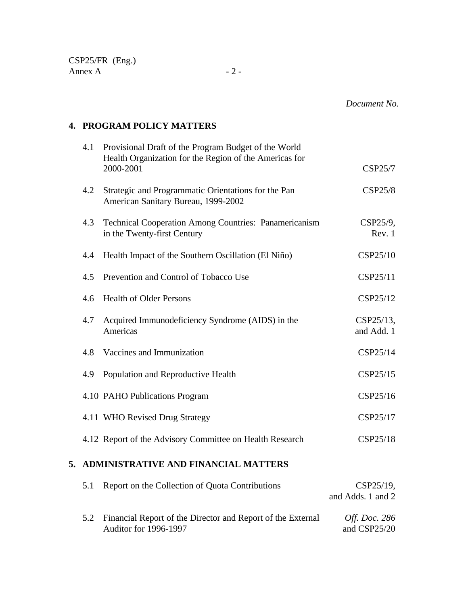## **4. PROGRAM POLICY MATTERS**

| 4.1 | Provisional Draft of the Program Budget of the World<br>Health Organization for the Region of the Americas for |                            |
|-----|----------------------------------------------------------------------------------------------------------------|----------------------------|
|     | 2000-2001                                                                                                      | CSP25/7                    |
| 4.2 | Strategic and Programmatic Orientations for the Pan<br>American Sanitary Bureau, 1999-2002                     | <b>CSP25/8</b>             |
| 4.3 | Technical Cooperation Among Countries: Panamericanism<br>in the Twenty-first Century                           | CSP25/9,<br>Rev. 1         |
| 4.4 | Health Impact of the Southern Oscillation (El Niño)                                                            | CSP25/10                   |
| 4.5 | Prevention and Control of Tobacco Use                                                                          | CSP25/11                   |
| 4.6 | <b>Health of Older Persons</b>                                                                                 | CSP25/12                   |
| 4.7 | Acquired Immunodeficiency Syndrome (AIDS) in the<br>Americas                                                   | $CSP25/13$ ,<br>and Add. 1 |
| 4.8 | Vaccines and Immunization                                                                                      | CSP25/14                   |
| 4.9 | Population and Reproductive Health                                                                             | CSP25/15                   |
|     | 4.10 PAHO Publications Program                                                                                 | CSP25/16                   |
|     | 4.11 WHO Revised Drug Strategy                                                                                 | CSP25/17                   |
|     | 4.12 Report of the Advisory Committee on Health Research                                                       | CSP25/18                   |
|     |                                                                                                                |                            |

## **5. ADMINISTRATIVE AND FINANCIAL MATTERS**

| 5.1 | Report on the Collection of Quota Contributions                                                 | $CSP25/19$ ,<br>and Adds. 1 and 2    |
|-----|-------------------------------------------------------------------------------------------------|--------------------------------------|
|     | 5.2 Financial Report of the Director and Report of the External<br><b>Auditor for 1996-1997</b> | <i>Off. Doc.</i> 286<br>and CSP25/20 |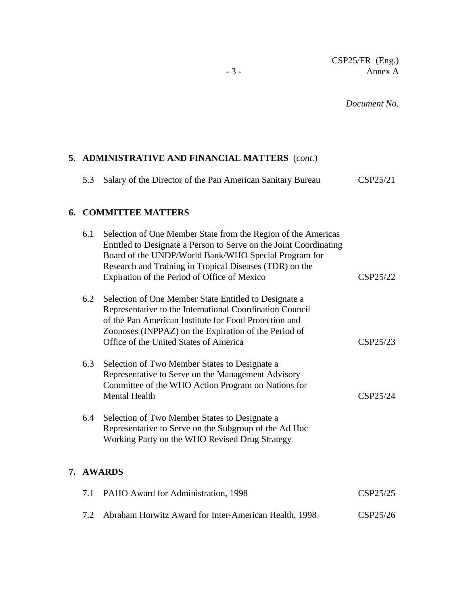*Document No.*

## **5. ADMINISTRATIVE AND FINANCIAL MATTERS** (*cont*.)

| CSP25/21<br>5.3 Salary of the Director of the Pan American Sanitary Bureau |
|----------------------------------------------------------------------------|
|----------------------------------------------------------------------------|

## **6. COMMITTEE MATTERS**

**7. AWARDS**

| 6.1 | Selection of One Member State from the Region of the Americas<br>Entitled to Designate a Person to Serve on the Joint Coordinating<br>Board of the UNDP/World Bank/WHO Special Program for<br>Research and Training in Tropical Diseases (TDR) on the                        |          |
|-----|------------------------------------------------------------------------------------------------------------------------------------------------------------------------------------------------------------------------------------------------------------------------------|----------|
|     | Expiration of the Period of Office of Mexico                                                                                                                                                                                                                                 | CSP25/22 |
| 6.2 | Selection of One Member State Entitled to Designate a<br>Representative to the International Coordination Council<br>of the Pan American Institute for Food Protection and<br>Zoonoses (INPPAZ) on the Expiration of the Period of<br>Office of the United States of America | CSP25/23 |
|     |                                                                                                                                                                                                                                                                              |          |
| 6.3 | Selection of Two Member States to Designate a<br>Representative to Serve on the Management Advisory<br>Committee of the WHO Action Program on Nations for<br><b>Mental Health</b>                                                                                            | CSP25/24 |
| 6.4 | Selection of Two Member States to Designate a<br>Representative to Serve on the Subgroup of the Ad Hoc<br>Working Party on the WHO Revised Drug Strategy                                                                                                                     |          |
|     | <b>AWARDS</b>                                                                                                                                                                                                                                                                |          |
| 7.1 | PAHO Award for Administration, 1998                                                                                                                                                                                                                                          | CSP25/25 |
| 7.2 | Abraham Horwitz Award for Inter-American Health, 1998                                                                                                                                                                                                                        | CSP25/26 |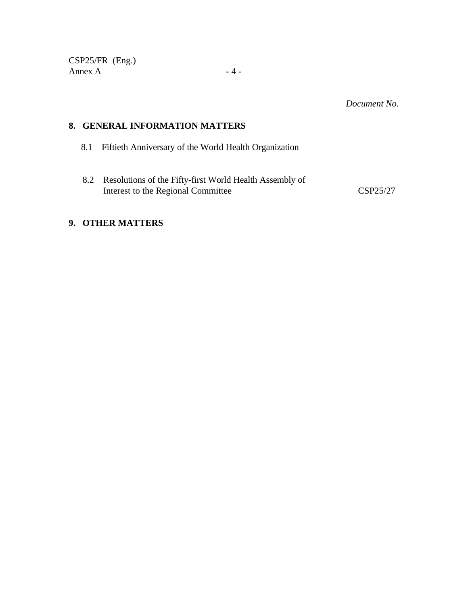CSP25/FR (Eng.) Annex  $A$  - 4 -

*Document No.*

#### **8. GENERAL INFORMATION MATTERS**

- 8.1 Fiftieth Anniversary of the World Health Organization
- 8.2 Resolutions of the Fifty-first World Health Assembly of Interest to the Regional Committee CSP25/27

## **9. OTHER MATTERS**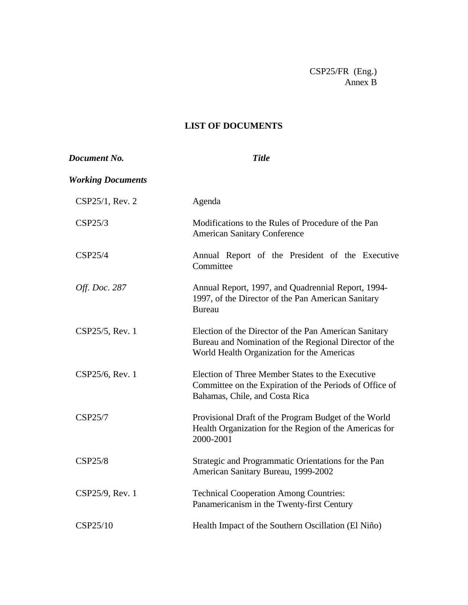CSP25/FR (Eng.) Annex B

## **LIST OF DOCUMENTS**

| Document No.             | <b>Title</b>                                                                                                                                                 |
|--------------------------|--------------------------------------------------------------------------------------------------------------------------------------------------------------|
| <b>Working Documents</b> |                                                                                                                                                              |
| CSP25/1, Rev. 2          | Agenda                                                                                                                                                       |
| CSP25/3                  | Modifications to the Rules of Procedure of the Pan<br><b>American Sanitary Conference</b>                                                                    |
| CSP25/4                  | Annual Report of the President of the Executive<br>Committee                                                                                                 |
| Off. Doc. 287            | Annual Report, 1997, and Quadrennial Report, 1994-<br>1997, of the Director of the Pan American Sanitary<br><b>Bureau</b>                                    |
| CSP25/5, Rev. 1          | Election of the Director of the Pan American Sanitary<br>Bureau and Nomination of the Regional Director of the<br>World Health Organization for the Americas |
| CSP25/6, Rev. 1          | Election of Three Member States to the Executive<br>Committee on the Expiration of the Periods of Office of<br>Bahamas, Chile, and Costa Rica                |
| CSP25/7                  | Provisional Draft of the Program Budget of the World<br>Health Organization for the Region of the Americas for<br>2000-2001                                  |
| <b>CSP25/8</b>           | Strategic and Programmatic Orientations for the Pan<br>American Sanitary Bureau, 1999-2002                                                                   |
| CSP25/9, Rev. 1          | <b>Technical Cooperation Among Countries:</b><br>Panamericanism in the Twenty-first Century                                                                  |
| CSP25/10                 | Health Impact of the Southern Oscillation (El Niño)                                                                                                          |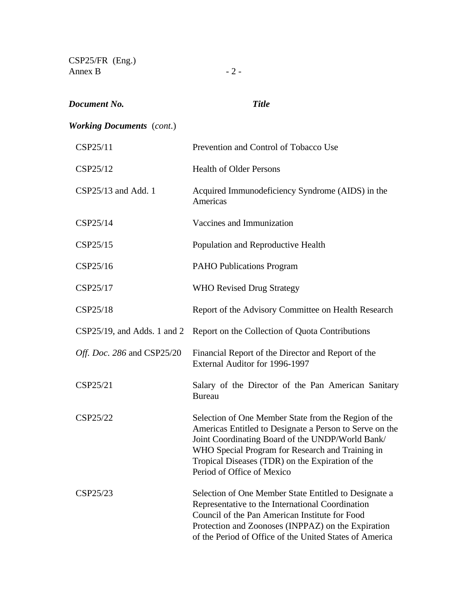| $CSP25/FR$ (Eng.)<br>Annex B     | $-2-$                                                                                                                                                                                                                                                                                                     |
|----------------------------------|-----------------------------------------------------------------------------------------------------------------------------------------------------------------------------------------------------------------------------------------------------------------------------------------------------------|
| Document No.                     | <b>Title</b>                                                                                                                                                                                                                                                                                              |
| <b>Working Documents</b> (cont.) |                                                                                                                                                                                                                                                                                                           |
| CSP25/11                         | Prevention and Control of Tobacco Use                                                                                                                                                                                                                                                                     |
| CSP25/12                         | <b>Health of Older Persons</b>                                                                                                                                                                                                                                                                            |
| CSP25/13 and Add. 1              | Acquired Immunodeficiency Syndrome (AIDS) in the<br>Americas                                                                                                                                                                                                                                              |
| CSP25/14                         | Vaccines and Immunization                                                                                                                                                                                                                                                                                 |
| CSP25/15                         | Population and Reproductive Health                                                                                                                                                                                                                                                                        |
| CSP25/16                         | <b>PAHO Publications Program</b>                                                                                                                                                                                                                                                                          |
| CSP25/17                         | <b>WHO Revised Drug Strategy</b>                                                                                                                                                                                                                                                                          |
| CSP25/18                         | Report of the Advisory Committee on Health Research                                                                                                                                                                                                                                                       |
| $CSP25/19$ , and Adds. 1 and 2   | Report on the Collection of Quota Contributions                                                                                                                                                                                                                                                           |
| Off. Doc. 286 and CSP25/20       | Financial Report of the Director and Report of the<br>External Auditor for 1996-1997                                                                                                                                                                                                                      |
| CSP25/21                         | Salary of the Director of the Pan American Sanitary<br><b>Bureau</b>                                                                                                                                                                                                                                      |
| CSP25/22                         | Selection of One Member State from the Region of the<br>Americas Entitled to Designate a Person to Serve on the<br>Joint Coordinating Board of the UNDP/World Bank/<br>WHO Special Program for Research and Training in<br>Tropical Diseases (TDR) on the Expiration of the<br>Period of Office of Mexico |
| CSP25/23                         | Selection of One Member State Entitled to Designate a<br>Representative to the International Coordination<br>Council of the Pan American Institute for Food<br>Protection and Zoonoses (INPPAZ) on the Expiration<br>of the Period of Office of the United States of America                              |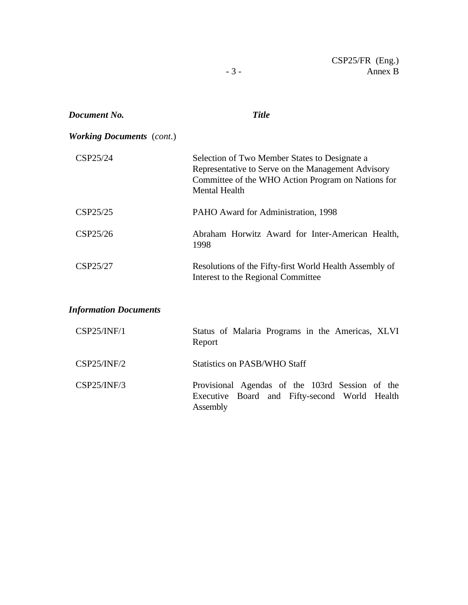| Document No.                     | <b>Title</b>                                                                                                                                                                      |
|----------------------------------|-----------------------------------------------------------------------------------------------------------------------------------------------------------------------------------|
| <b>Working Documents</b> (cont.) |                                                                                                                                                                                   |
| CSP25/24                         | Selection of Two Member States to Designate a<br>Representative to Serve on the Management Advisory<br>Committee of the WHO Action Program on Nations for<br><b>Mental Health</b> |
| CSP25/25                         | PAHO Award for Administration, 1998                                                                                                                                               |
| CSP25/26                         | Abraham Horwitz Award for Inter-American Health,<br>1998                                                                                                                          |
| CSP25/27                         | Resolutions of the Fifty-first World Health Assembly of<br>Interest to the Regional Committee                                                                                     |
| <b>Information Documents</b>     |                                                                                                                                                                                   |
| CSP25/INF/1                      | Status of Malaria Programs in the Americas, XLVI<br>Report                                                                                                                        |
| CSP25/INF/2                      | <b>Statistics on PASB/WHO Staff</b>                                                                                                                                               |
| CSP25/INF/3                      | Provisional Agendas of the 103rd Session of the<br>Executive<br>Board and Fifty-second World Health<br>Assembly                                                                   |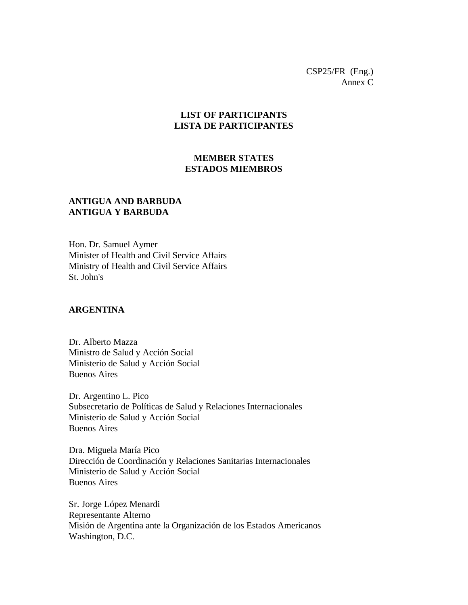CSP25/FR (Eng.) Annex C

## **LIST OF PARTICIPANTS LISTA DE PARTICIPANTES**

### **MEMBER STATES ESTADOS MIEMBROS**

## **ANTIGUA AND BARBUDA ANTIGUA Y BARBUDA**

Hon. Dr. Samuel Aymer Minister of Health and Civil Service Affairs Ministry of Health and Civil Service Affairs St. John's

#### **ARGENTINA**

Dr. Alberto Mazza Ministro de Salud y Acción Social Ministerio de Salud y Acción Social Buenos Aires

Dr. Argentino L. Pico Subsecretario de Políticas de Salud y Relaciones Internacionales Ministerio de Salud y Acción Social Buenos Aires

Dra. Miguela María Pico Dirección de Coordinación y Relaciones Sanitarias Internacionales Ministerio de Salud y Acción Social Buenos Aires

Sr. Jorge López Menardi Representante Alterno Misión de Argentina ante la Organización de los Estados Americanos Washington, D.C.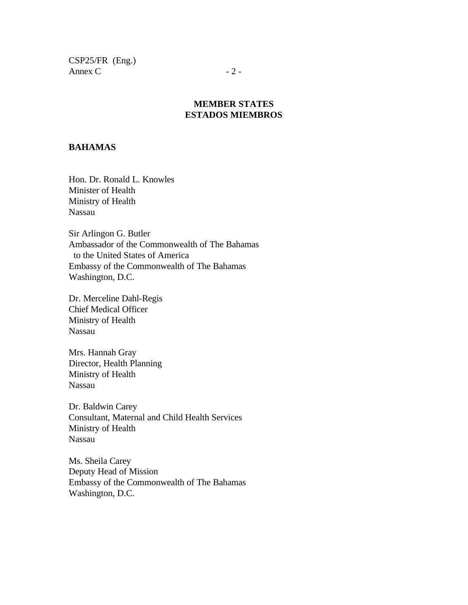CSP25/FR (Eng.) Annex C  $-2$  -

## **MEMBER STATES ESTADOS MIEMBROS**

#### **BAHAMAS**

Hon. Dr. Ronald L. Knowles Minister of Health Ministry of Health Nassau

Sir Arlingon G. Butler Ambassador of the Commonwealth of The Bahamas to the United States of America Embassy of the Commonwealth of The Bahamas Washington, D.C.

Dr. Merceline Dahl-Regis Chief Medical Officer Ministry of Health Nassau

Mrs. Hannah Gray Director, Health Planning Ministry of Health Nassau

Dr. Baldwin Carey Consultant, Maternal and Child Health Services Ministry of Health Nassau

Ms. Sheila Carey Deputy Head of Mission Embassy of the Commonwealth of The Bahamas Washington, D.C.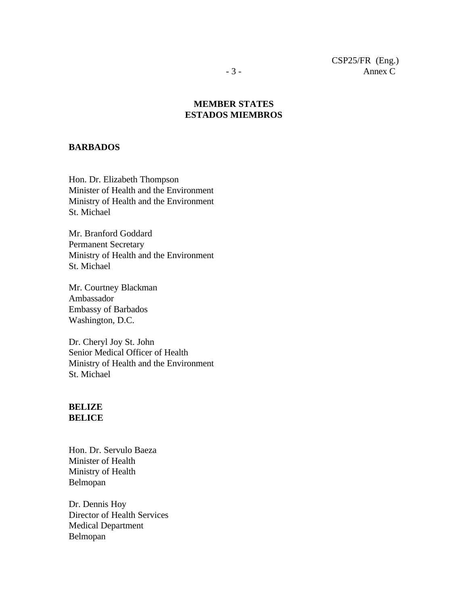### **MEMBER STATES ESTADOS MIEMBROS**

#### **BARBADOS**

Hon. Dr. Elizabeth Thompson Minister of Health and the Environment Ministry of Health and the Environment St. Michael

Mr. Branford Goddard Permanent Secretary Ministry of Health and the Environment St. Michael

Mr. Courtney Blackman Ambassador Embassy of Barbados Washington, D.C.

Dr. Cheryl Joy St. John Senior Medical Officer of Health Ministry of Health and the Environment St. Michael

#### **BELIZE BELICE**

Hon. Dr. Servulo Baeza Minister of Health Ministry of Health Belmopan

Dr. Dennis Hoy Director of Health Services Medical Department Belmopan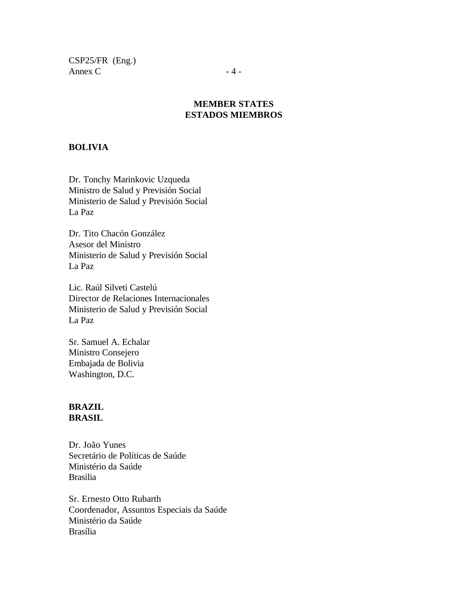CSP25/FR (Eng.) Annex C  $-4$  -

## **MEMBER STATES ESTADOS MIEMBROS**

### **BOLIVIA**

Dr. Tonchy Marinkovic Uzqueda Ministro de Salud y Previsión Social Ministerio de Salud y Previsión Social La Paz

Dr. Tito Chacón González Asesor del Ministro Ministerio de Salud y Previsión Social La Paz

Lic. Raúl Silveti Castelú Director de Relaciones Internacionales Ministerio de Salud y Previsión Social La Paz

Sr. Samuel A. Echalar Ministro Consejero Embajada de Bolivia Washington, D.C.

#### **BRAZIL BRASIL**

Dr. João Yunes Secretário de Políticas de Saúde Ministério da Saúde Brasilia

Sr. Ernesto Otto Rubarth Coordenador, Assuntos Especiais da Saúde Ministério da Saúde Brasília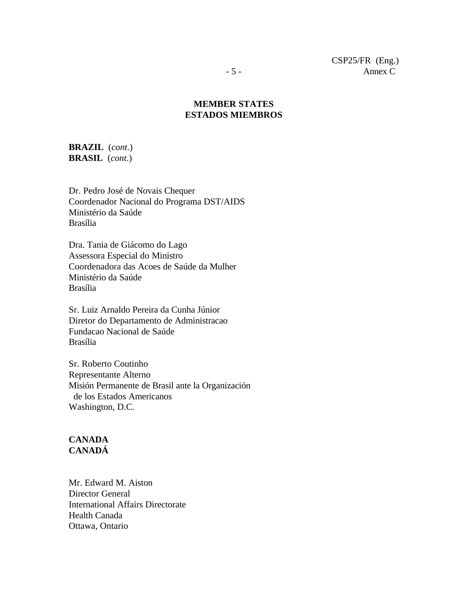## **MEMBER STATES ESTADOS MIEMBROS**

## **BRAZIL** (*cont*.) **BRASIL** (*cont*.)

Dr. Pedro José de Novais Chequer Coordenador Nacional do Programa DST/AIDS Ministério da Saúde Brasília

Dra. Tania de Giácomo do Lago Assessora Especial do Ministro Coordenadora das Acoes de Saúde da Mulher Ministério da Saúde Brasília

Sr. Luiz Arnaldo Pereira da Cunha Júnior Diretor do Departamento de Administracao Fundacao Nacional de Saúde Brasília

Sr. Roberto Coutinho Representante Alterno Misión Permanente de Brasil ante la Organización de los Estados Americanos Washington, D.C.

#### **CANADA CANADÁ**

Mr. Edward M. Aiston Director General International Affairs Directorate Health Canada Ottawa, Ontario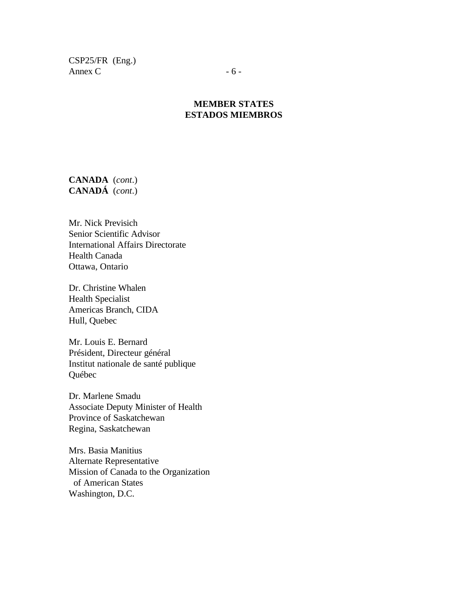CSP25/FR (Eng.) Annex  $C \t - 6 -$ 

## **MEMBER STATES ESTADOS MIEMBROS**

**CANADA** (*cont*.) **CANADÁ** (*cont*.)

Mr. Nick Previsich Senior Scientific Advisor International Affairs Directorate Health Canada Ottawa, Ontario

Dr. Christine Whalen Health Specialist Americas Branch, CIDA Hull, Quebec

Mr. Louis E. Bernard Président, Directeur général Institut nationale de santé publique Québec

Dr. Marlene Smadu Associate Deputy Minister of Health Province of Saskatchewan Regina, Saskatchewan

Mrs. Basia Manitius Alternate Representative Mission of Canada to the Organization of American States Washington, D.C.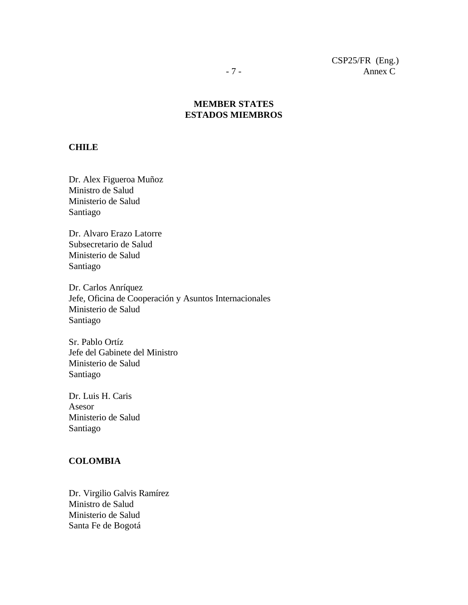## **MEMBER STATES ESTADOS MIEMBROS**

#### **CHILE**

Dr. Alex Figueroa Muñoz Ministro de Salud Ministerio de Salud Santiago

Dr. Alvaro Erazo Latorre Subsecretario de Salud Ministerio de Salud Santiago

Dr. Carlos Anríquez Jefe, Oficina de Cooperación y Asuntos Internacionales Ministerio de Salud Santiago

Sr. Pablo Ortíz Jefe del Gabinete del Ministro Ministerio de Salud Santiago

Dr. Luis H. Caris Asesor Ministerio de Salud Santiago

#### **COLOMBIA**

Dr. Virgilio Galvis Ramírez Ministro de Salud Ministerio de Salud Santa Fe de Bogotá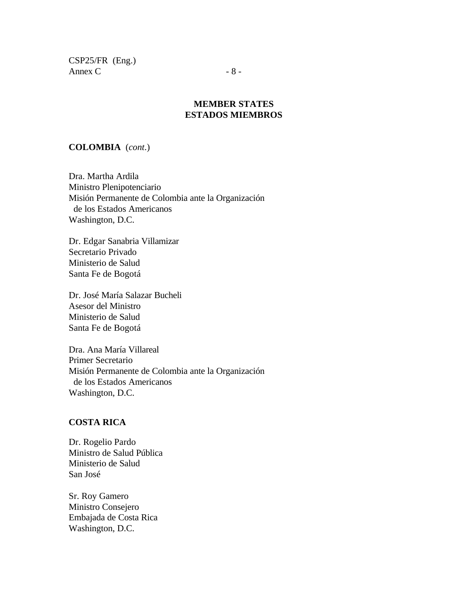CSP25/FR (Eng.) Annex C  $-8$  -

### **MEMBER STATES ESTADOS MIEMBROS**

#### **COLOMBIA** (*cont*.)

Dra. Martha Ardila Ministro Plenipotenciario Misión Permanente de Colombia ante la Organización de los Estados Americanos Washington, D.C.

Dr. Edgar Sanabria Villamizar Secretario Privado Ministerio de Salud Santa Fe de Bogotá

Dr. José María Salazar Bucheli Asesor del Ministro Ministerio de Salud Santa Fe de Bogotá

Dra. Ana María Villareal Primer Secretario Misión Permanente de Colombia ante la Organización de los Estados Americanos Washington, D.C.

#### **COSTA RICA**

Dr. Rogelio Pardo Ministro de Salud Pública Ministerio de Salud San José

Sr. Roy Gamero Ministro Consejero Embajada de Costa Rica Washington, D.C.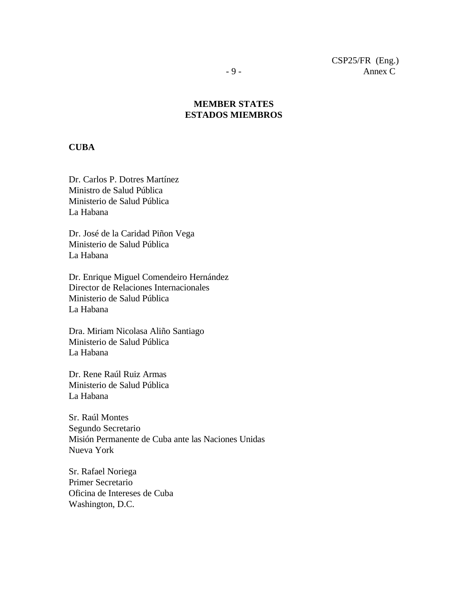## **MEMBER STATES ESTADOS MIEMBROS**

#### **CUBA**

Dr. Carlos P. Dotres Martínez Ministro de Salud Pública Ministerio de Salud Pública La Habana

Dr. José de la Caridad Piñon Vega Ministerio de Salud Pública La Habana

Dr. Enrique Miguel Comendeiro Hernández Director de Relaciones Internacionales Ministerio de Salud Pública La Habana

Dra. Miriam Nicolasa Aliño Santiago Ministerio de Salud Pública La Habana

Dr. Rene Raúl Ruiz Armas Ministerio de Salud Pública La Habana

Sr. Raúl Montes Segundo Secretario Misión Permanente de Cuba ante las Naciones Unidas Nueva York

Sr. Rafael Noriega Primer Secretario Oficina de Intereses de Cuba Washington, D.C.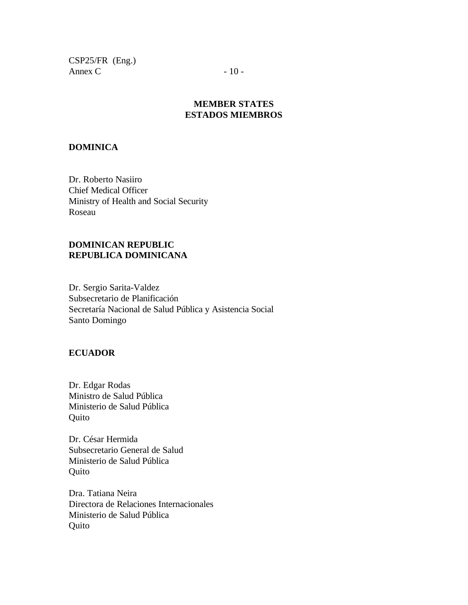CSP25/FR (Eng.) Annex C  $-10$  -

## **MEMBER STATES ESTADOS MIEMBROS**

#### **DOMINICA**

Dr. Roberto Nasiiro Chief Medical Officer Ministry of Health and Social Security Roseau

### **DOMINICAN REPUBLIC REPUBLICA DOMINICANA**

Dr. Sergio Sarita-Valdez Subsecretario de Planificación Secretaría Nacional de Salud Pública y Asistencia Social Santo Domingo

### **ECUADOR**

Dr. Edgar Rodas Ministro de Salud Pública Ministerio de Salud Pública Quito

Dr. César Hermida Subsecretario General de Salud Ministerio de Salud Pública **Ouito** 

Dra. Tatiana Neira Directora de Relaciones Internacionales Ministerio de Salud Pública **Quito**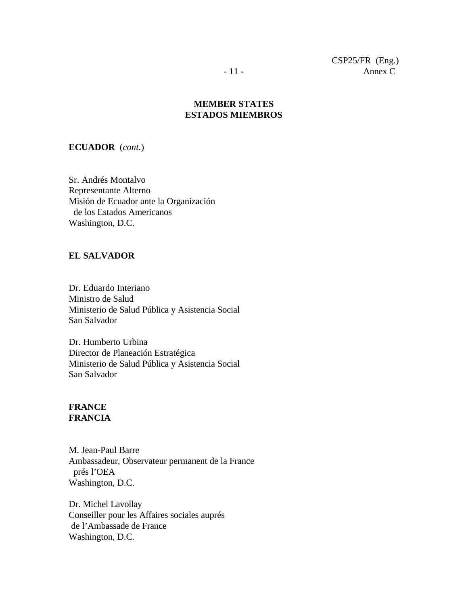### **MEMBER STATES ESTADOS MIEMBROS**

#### **ECUADOR** (*cont*.)

Sr. Andrés Montalvo Representante Alterno Misión de Ecuador ante la Organización de los Estados Americanos Washington, D.C.

#### **EL SALVADOR**

Dr. Eduardo Interiano Ministro de Salud Ministerio de Salud Pública y Asistencia Social San Salvador

Dr. Humberto Urbina Director de Planeación Estratégica Ministerio de Salud Pública y Asistencia Social San Salvador

## **FRANCE FRANCIA**

M. Jean-Paul Barre Ambassadeur, Observateur permanent de la France prés l'OEA Washington, D.C.

Dr. Michel Lavollay Conseiller pour les Affaires sociales auprés de l'Ambassade de France Washington, D.C.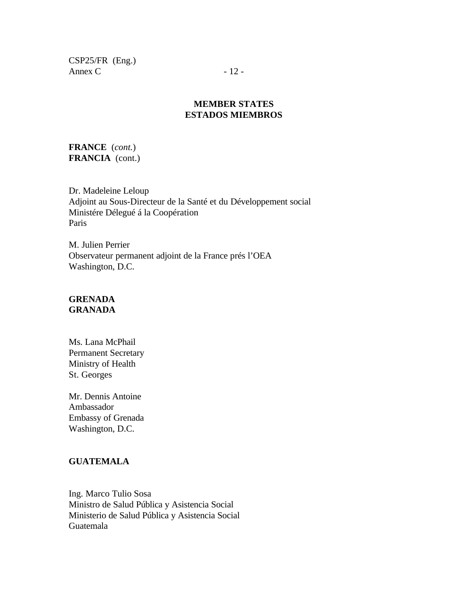CSP25/FR (Eng.) Annex C  $-12$  -

## **MEMBER STATES ESTADOS MIEMBROS**

**FRANCE** (*cont.*) **FRANCIA** (cont.)

Dr. Madeleine Leloup Adjoint au Sous-Directeur de la Santé et du Développement social Ministére Délegué á la Coopération Paris

M. Julien Perrier Observateur permanent adjoint de la France prés l'OEA Washington, D.C.

## **GRENADA GRANADA**

Ms. Lana McPhail Permanent Secretary Ministry of Health St. Georges

Mr. Dennis Antoine Ambassador Embassy of Grenada Washington, D.C.

## **GUATEMALA**

Ing. Marco Tulio Sosa Ministro de Salud Pública y Asistencia Social Ministerio de Salud Pública y Asistencia Social Guatemala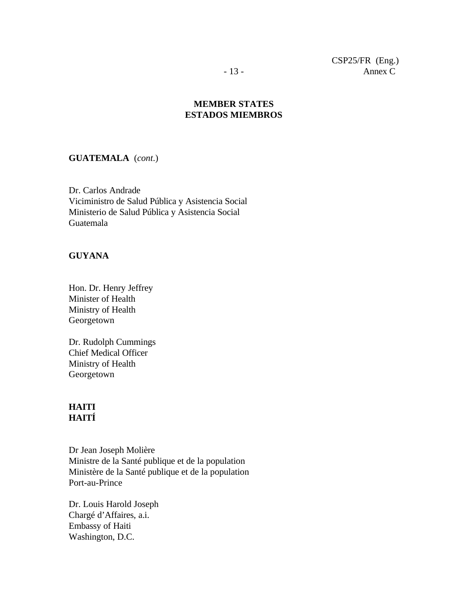## **MEMBER STATES ESTADOS MIEMBROS**

#### **GUATEMALA** (*cont*.)

Dr. Carlos Andrade Viciministro de Salud Pública y Asistencia Social Ministerio de Salud Pública y Asistencia Social Guatemala

#### **GUYANA**

Hon. Dr. Henry Jeffrey Minister of Health Ministry of Health Georgetown

Dr. Rudolph Cummings Chief Medical Officer Ministry of Health Georgetown

## **HAITI HAITÍ**

Dr Jean Joseph Molière Ministre de la Santé publique et de la population Ministère de la Santé publique et de la population Port-au-Prince

Dr. Louis Harold Joseph Chargé d'Affaires, a.i. Embassy of Haiti Washington, D.C.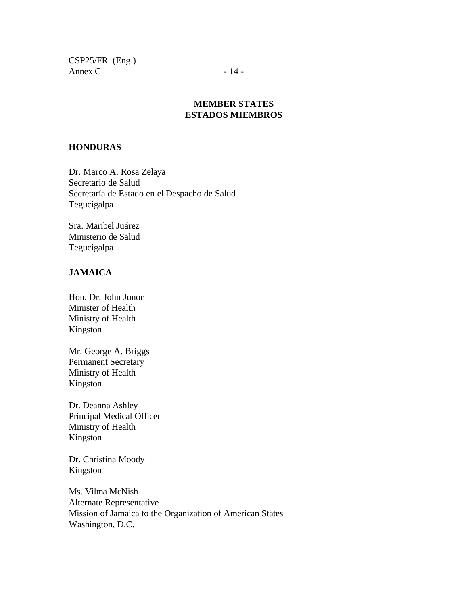CSP25/FR (Eng.) Annex C  $-14$  -

## **MEMBER STATES ESTADOS MIEMBROS**

#### **HONDURAS**

Dr. Marco A. Rosa Zelaya Secretario de Salud Secretaría de Estado en el Despacho de Salud Tegucigalpa

Sra. Maribel Juárez Ministerio de Salud Tegucigalpa

#### **JAMAICA**

Hon. Dr. John Junor Minister of Health Ministry of Health Kingston

Mr. George A. Briggs Permanent Secretary Ministry of Health Kingston

Dr. Deanna Ashley Principal Medical Officer Ministry of Health Kingston

Dr. Christina Moody Kingston

Ms. Vilma McNish Alternate Representative Mission of Jamaica to the Organization of American States Washington, D.C.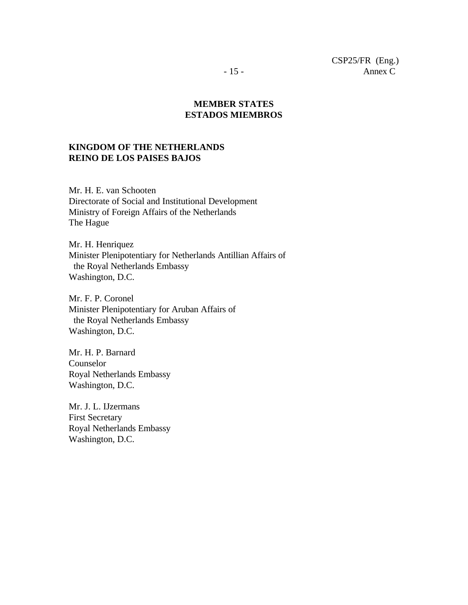**MEMBER STATES ESTADOS MIEMBROS**

### **KINGDOM OF THE NETHERLANDS REINO DE LOS PAISES BAJOS**

Mr. H. E. van Schooten Directorate of Social and Institutional Development Ministry of Foreign Affairs of the Netherlands The Hague

Mr. H. Henriquez Minister Plenipotentiary for Netherlands Antillian Affairs of the Royal Netherlands Embassy Washington, D.C.

Mr. F. P. Coronel Minister Plenipotentiary for Aruban Affairs of the Royal Netherlands Embassy Washington, D.C.

Mr. H. P. Barnard Counselor Royal Netherlands Embassy Washington, D.C.

Mr. J. L. IJzermans First Secretary Royal Netherlands Embassy Washington, D.C.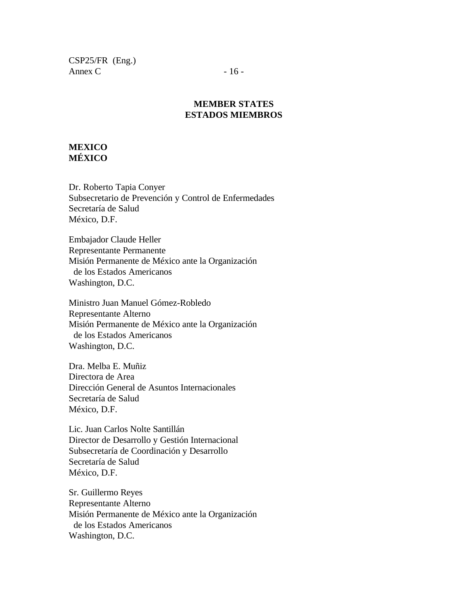CSP25/FR (Eng.) Annex C  $-16$  -

### **MEMBER STATES ESTADOS MIEMBROS**

### **MEXICO MÉXICO**

Dr. Roberto Tapia Conyer Subsecretario de Prevención y Control de Enfermedades Secretaría de Salud México, D.F.

Embajador Claude Heller Representante Permanente Misión Permanente de México ante la Organización de los Estados Americanos Washington, D.C.

Ministro Juan Manuel Gómez-Robledo Representante Alterno Misión Permanente de México ante la Organización de los Estados Americanos Washington, D.C.

Dra. Melba E. Muñiz Directora de Area Dirección General de Asuntos Internacionales Secretaría de Salud México, D.F.

Lic. Juan Carlos Nolte Santillán Director de Desarrollo y Gestión Internacional Subsecretaría de Coordinación y Desarrollo Secretaría de Salud México, D.F.

Sr. Guillermo Reyes Representante Alterno Misión Permanente de México ante la Organización de los Estados Americanos Washington, D.C.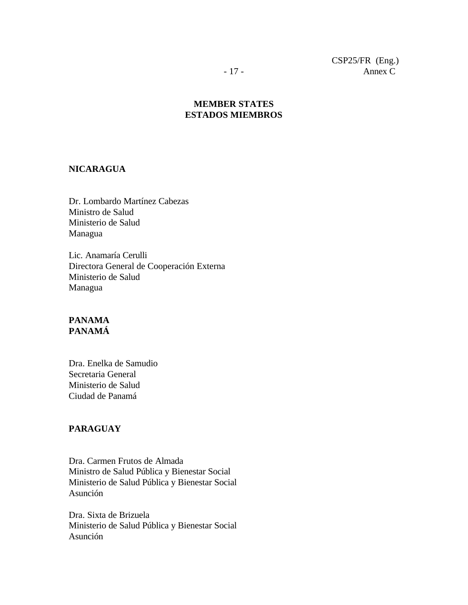## **MEMBER STATES ESTADOS MIEMBROS**

#### **NICARAGUA**

Dr. Lombardo Martínez Cabezas Ministro de Salud Ministerio de Salud Managua

Lic. Anamaría Cerulli Directora General de Cooperación Externa Ministerio de Salud Managua

### **PANAMA PANAMÁ**

Dra. Enelka de Samudio Secretaria General Ministerio de Salud Ciudad de Panamá

### **PARAGUAY**

Dra. Carmen Frutos de Almada Ministro de Salud Pública y Bienestar Social Ministerio de Salud Pública y Bienestar Social Asunción

Dra. Sixta de Brizuela Ministerio de Salud Pública y Bienestar Social Asunción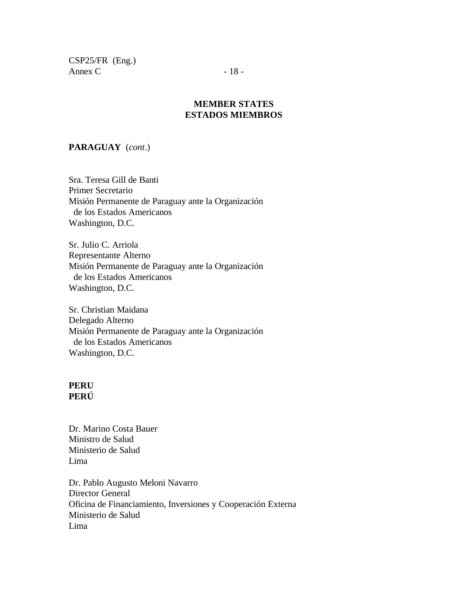CSP25/FR (Eng.) Annex C  $-18$  -

## **MEMBER STATES ESTADOS MIEMBROS**

## **PARAGUAY** (*cont*.)

Sra. Teresa Gill de Banti Primer Secretario Misión Permanente de Paraguay ante la Organización de los Estados Americanos Washington, D.C.

Sr. Julio C. Arriola Representante Alterno Misión Permanente de Paraguay ante la Organización de los Estados Americanos Washington, D.C.

Sr. Christian Maidana Delegado Alterno Misión Permanente de Paraguay ante la Organización de los Estados Americanos Washington, D.C.

#### **PERU PERÚ**

Dr. Marino Costa Bauer Ministro de Salud Ministerio de Salud Lima

Dr. Pablo Augusto Meloni Navarro Director General Oficina de Financiamiento, Inversiones y Cooperación Externa Ministerio de Salud Lima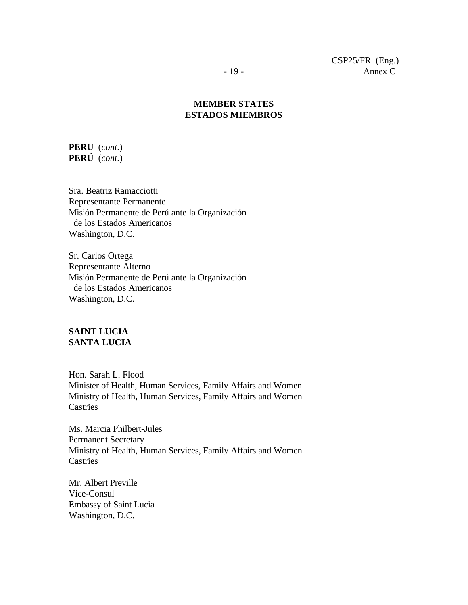## **MEMBER STATES ESTADOS MIEMBROS**

**PERU** (*cont*.) **PERÚ** (*cont*.)

Sra. Beatriz Ramacciotti Representante Permanente Misión Permanente de Perú ante la Organización de los Estados Americanos Washington, D.C.

Sr. Carlos Ortega Representante Alterno Misión Permanente de Perú ante la Organización de los Estados Americanos Washington, D.C.

## **SAINT LUCIA SANTA LUCIA**

Hon. Sarah L. Flood Minister of Health, Human Services, Family Affairs and Women Ministry of Health, Human Services, Family Affairs and Women **Castries** 

Ms. Marcia Philbert-Jules Permanent Secretary Ministry of Health, Human Services, Family Affairs and Women **Castries** 

Mr. Albert Preville Vice-Consul Embassy of Saint Lucia Washington, D.C.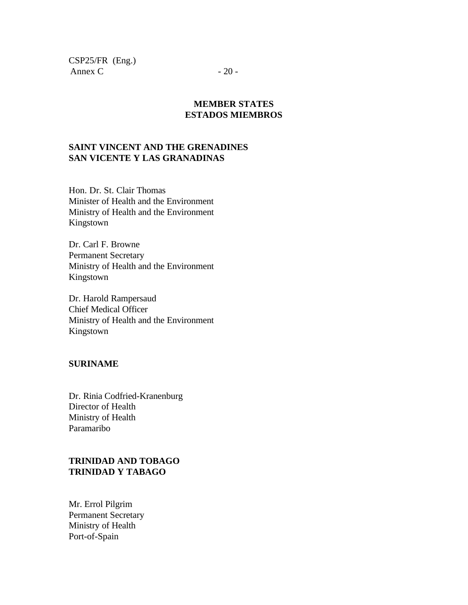CSP25/FR (Eng.) Annex C  $-20$  -

### **MEMBER STATES ESTADOS MIEMBROS**

## **SAINT VINCENT AND THE GRENADINES SAN VICENTE Y LAS GRANADINAS**

Hon. Dr. St. Clair Thomas Minister of Health and the Environment Ministry of Health and the Environment Kingstown

Dr. Carl F. Browne Permanent Secretary Ministry of Health and the Environment Kingstown

Dr. Harold Rampersaud Chief Medical Officer Ministry of Health and the Environment Kingstown

#### **SURINAME**

Dr. Rinia Codfried-Kranenburg Director of Health Ministry of Health Paramaribo

## **TRINIDAD AND TOBAGO TRINIDAD Y TABAGO**

Mr. Errol Pilgrim Permanent Secretary Ministry of Health Port-of-Spain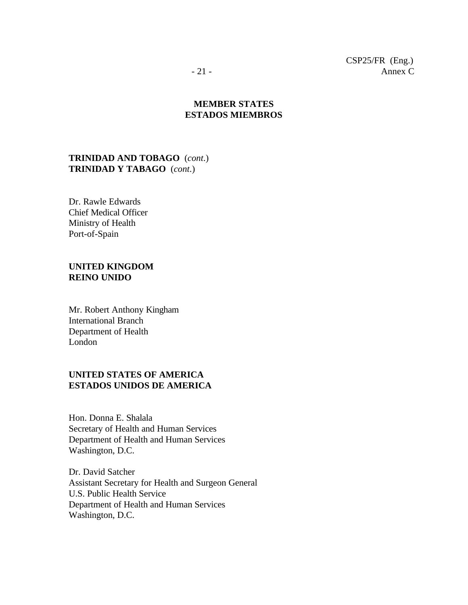CSP25/FR (Eng.) - 21 - Annex C

## **MEMBER STATES ESTADOS MIEMBROS**

#### **TRINIDAD AND TOBAGO** (*cont*.) **TRINIDAD Y TABAGO** (*cont*.)

Dr. Rawle Edwards Chief Medical Officer Ministry of Health Port-of-Spain

#### **UNITED KINGDOM REINO UNIDO**

Mr. Robert Anthony Kingham International Branch Department of Health London

## **UNITED STATES OF AMERICA ESTADOS UNIDOS DE AMERICA**

Hon. Donna E. Shalala Secretary of Health and Human Services Department of Health and Human Services Washington, D.C.

Dr. David Satcher Assistant Secretary for Health and Surgeon General U.S. Public Health Service Department of Health and Human Services Washington, D.C.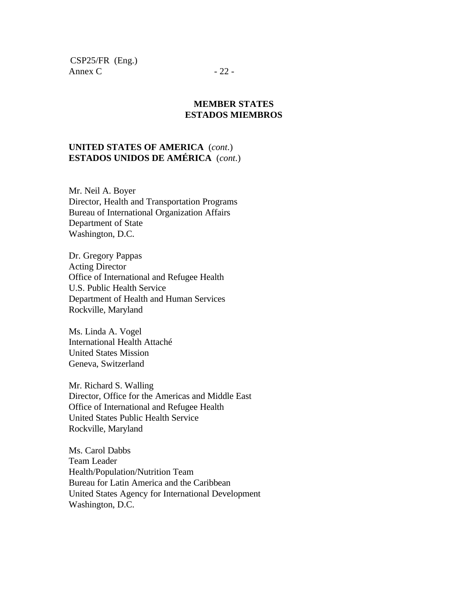CSP25/FR (Eng.) Annex C  $-22$  -

#### **MEMBER STATES ESTADOS MIEMBROS**

## **UNITED STATES OF AMERICA** (*cont*.) **ESTADOS UNIDOS DE AMÉRICA** (*cont*.)

Mr. Neil A. Boyer Director, Health and Transportation Programs Bureau of International Organization Affairs Department of State Washington, D.C.

Dr. Gregory Pappas Acting Director Office of International and Refugee Health U.S. Public Health Service Department of Health and Human Services Rockville, Maryland

Ms. Linda A. Vogel International Health Attaché United States Mission Geneva, Switzerland

Mr. Richard S. Walling Director, Office for the Americas and Middle East Office of International and Refugee Health United States Public Health Service Rockville, Maryland

Ms. Carol Dabbs Team Leader Health/Population/Nutrition Team Bureau for Latin America and the Caribbean United States Agency for International Development Washington, D.C.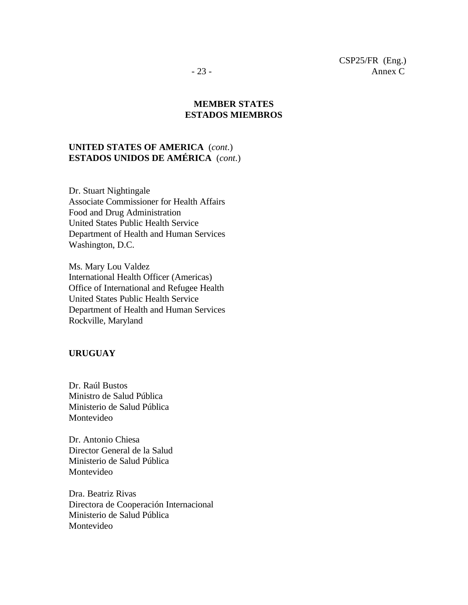**MEMBER STATES**

## **ESTADOS MIEMBROS**

## **UNITED STATES OF AMERICA** (*cont*.) **ESTADOS UNIDOS DE AMÉRICA** (*cont*.)

Dr. Stuart Nightingale Associate Commissioner for Health Affairs Food and Drug Administration United States Public Health Service Department of Health and Human Services Washington, D.C.

Ms. Mary Lou Valdez International Health Officer (Americas) Office of International and Refugee Health United States Public Health Service Department of Health and Human Services Rockville, Maryland

#### **URUGUAY**

Dr. Raúl Bustos Ministro de Salud Pública Ministerio de Salud Pública Montevideo

Dr. Antonio Chiesa Director General de la Salud Ministerio de Salud Pública Montevideo

Dra. Beatriz Rivas Directora de Cooperación Internacional Ministerio de Salud Pública Montevideo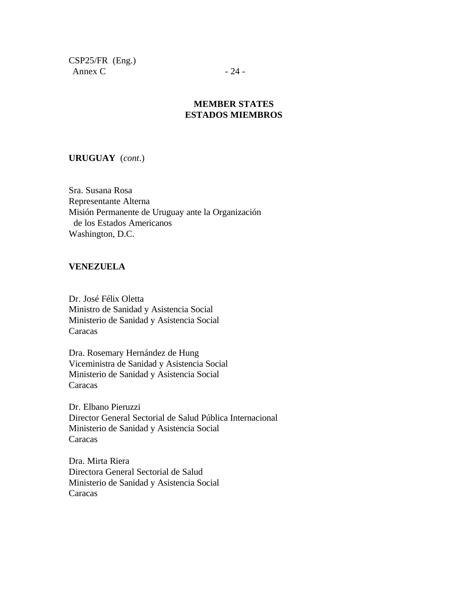CSP25/FR (Eng.) Annex C  $-24$  -

## **MEMBER STATES ESTADOS MIEMBROS**

**URUGUAY** (*cont*.)

Sra. Susana Rosa Representante Alterna Misión Permanente de Uruguay ante la Organización de los Estados Americanos Washington, D.C.

#### **VENEZUELA**

Dr. José Félix Oletta Ministro de Sanidad y Asistencia Social Ministerio de Sanidad y Asistencia Social Caracas

Dra. Rosemary Hernández de Hung Viceministra de Sanidad y Asistencia Social Ministerio de Sanidad y Asistencia Social Caracas

Dr. Elbano Pieruzzi Director General Sectorial de Salud Pública Internacional Ministerio de Sanidad y Asistencia Social Caracas

Dra. Mirta Riera Directora General Sectorial de Salud Ministerio de Sanidad y Asistencia Social Caracas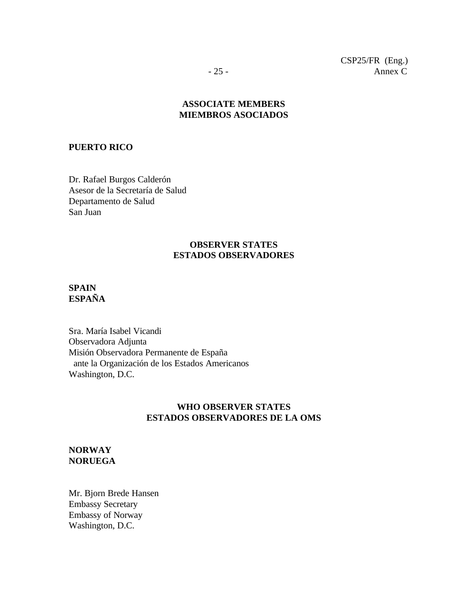CSP25/FR (Eng.) - 25 - Annex C

## **ASSOCIATE MEMBERS MIEMBROS ASOCIADOS**

#### **PUERTO RICO**

Dr. Rafael Burgos Calderón Asesor de la Secretaría de Salud Departamento de Salud San Juan

### **OBSERVER STATES ESTADOS OBSERVADORES**

#### **SPAIN ESPAÑA**

Sra. María Isabel Vicandi Observadora Adjunta Misión Observadora Permanente de España ante la Organización de los Estados Americanos Washington, D.C.

#### **WHO OBSERVER STATES ESTADOS OBSERVADORES DE LA OMS**

### **NORWAY NORUEGA**

Mr. Bjorn Brede Hansen Embassy Secretary Embassy of Norway Washington, D.C.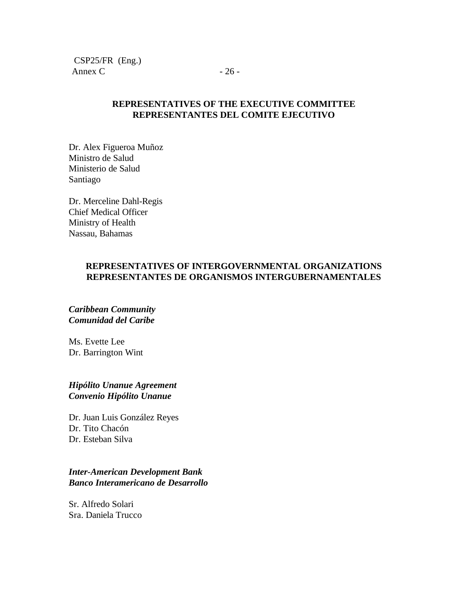CSP25/FR (Eng.) Annex C  $-26$  -

### **REPRESENTATIVES OF THE EXECUTIVE COMMITTEE REPRESENTANTES DEL COMITE EJECUTIVO**

Dr. Alex Figueroa Muñoz Ministro de Salud Ministerio de Salud Santiago

Dr. Merceline Dahl-Regis Chief Medical Officer Ministry of Health Nassau, Bahamas

### **REPRESENTATIVES OF INTERGOVERNMENTAL ORGANIZATIONS REPRESENTANTES DE ORGANISMOS INTERGUBERNAMENTALES**

#### *Caribbean Community Comunidad del Caribe*

Ms. Evette Lee Dr. Barrington Wint

### *Hipólito Unanue Agreement Convenio Hipólito Unanue*

Dr. Juan Luis González Reyes Dr. Tito Chacón Dr. Esteban Silva

## *Inter-American Development Bank Banco Interamericano de Desarrollo*

Sr. Alfredo Solari Sra. Daniela Trucco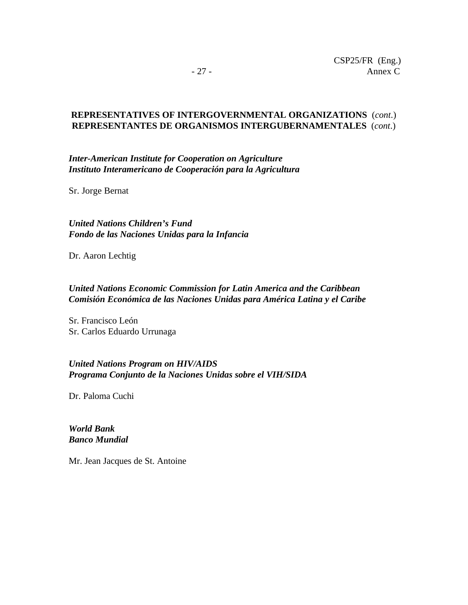## **REPRESENTATIVES OF INTERGOVERNMENTAL ORGANIZATIONS** (*cont*.) **REPRESENTANTES DE ORGANISMOS INTERGUBERNAMENTALES** (*cont*.)

*Inter-American Institute for Cooperation on Agriculture Instituto Interamericano de Cooperación para la Agricultura*

Sr. Jorge Bernat

*United Nations Children's Fund Fondo de las Naciones Unidas para la Infancia*

Dr. Aaron Lechtig

## *United Nations Economic Commission for Latin America and the Caribbean Comisión Económica de las Naciones Unidas para América Latina y el Caribe*

Sr. Francisco León Sr. Carlos Eduardo Urrunaga

## *United Nations Program on HIV/AIDS Programa Conjunto de la Naciones Unidas sobre el VIH/SIDA*

Dr. Paloma Cuchi

*World Bank Banco Mundial*

Mr. Jean Jacques de St. Antoine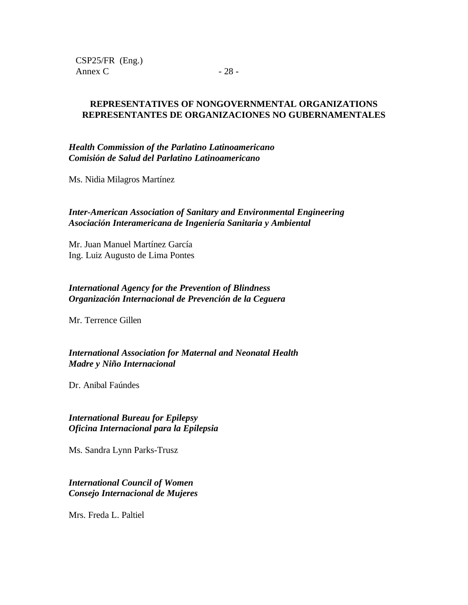CSP25/FR (Eng.) Annex C  $-28$  -

### **REPRESENTATIVES OF NONGOVERNMENTAL ORGANIZATIONS REPRESENTANTES DE ORGANIZACIONES NO GUBERNAMENTALES**

*Health Commission of the Parlatino Latinoamericano Comisión de Salud del Parlatino Latinoamericano*

Ms. Nidia Milagros Martínez

## *Inter-American Association of Sanitary and Environmental Engineering Asociación Interamericana de Ingeniería Sanitaria y Ambiental*

Mr. Juan Manuel Martínez García Ing. Luiz Augusto de Lima Pontes

## *International Agency for the Prevention of Blindness Organización Internacional de Prevención de la Ceguera*

Mr. Terrence Gillen

## *International Association for Maternal and Neonatal Health Madre y Niño Internacional*

Dr. Anibal Faúndes

### *International Bureau for Epilepsy Oficina Internacional para la Epilepsia*

Ms. Sandra Lynn Parks-Trusz

### *International Council of Women Consejo Internacional de Mujeres*

Mrs. Freda L. Paltiel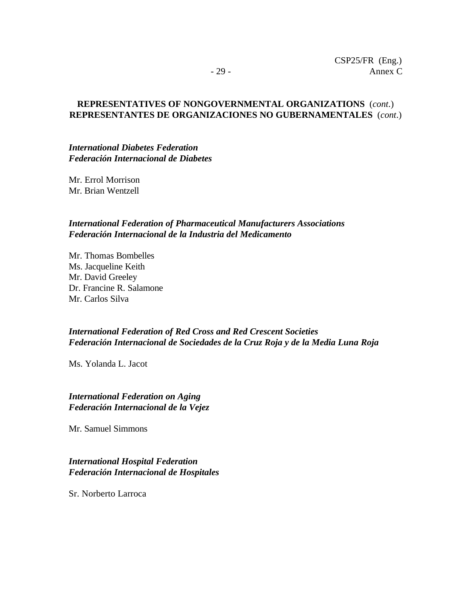#### **REPRESENTATIVES OF NONGOVERNMENTAL ORGANIZATIONS** (*cont*.) **REPRESENTANTES DE ORGANIZACIONES NO GUBERNAMENTALES** (*cont*.)

#### *International Diabetes Federation Federación Internacional de Diabetes*

Mr. Errol Morrison Mr. Brian Wentzell

### *International Federation of Pharmaceutical Manufacturers Associations Federación Internacional de la Industria del Medicamento*

Mr. Thomas Bombelles Ms. Jacqueline Keith Mr. David Greeley Dr. Francine R. Salamone Mr. Carlos Silva

## *International Federation of Red Cross and Red Crescent Societies Federación Internacional de Sociedades de la Cruz Roja y de la Media Luna Roja*

Ms. Yolanda L. Jacot

#### *International Federation on Aging Federación Internacional de la Vejez*

Mr. Samuel Simmons

### *International Hospital Federation Federación Internacional de Hospitales*

Sr. Norberto Larroca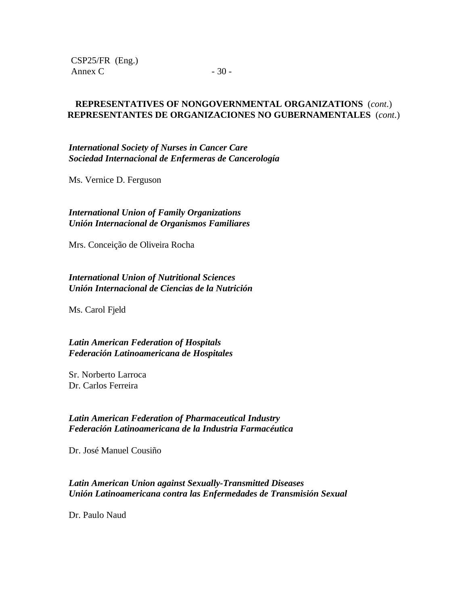CSP25/FR (Eng.) Annex C  $-30$  -

### **REPRESENTATIVES OF NONGOVERNMENTAL ORGANIZATIONS** (*cont*.) **REPRESENTANTES DE ORGANIZACIONES NO GUBERNAMENTALES** (*cont*.)

*International Society of Nurses in Cancer Care Sociedad Internacional de Enfermeras de Cancerología*

Ms. Vernice D. Ferguson

*International Union of Family Organizations Unión Internacional de Organismos Familiares*

Mrs. Conceição de Oliveira Rocha

*International Union of Nutritional Sciences Unión Internacional de Ciencias de la Nutrición*

Ms. Carol Fjeld

*Latin American Federation of Hospitals Federación Latinoamericana de Hospitales*

Sr. Norberto Larroca Dr. Carlos Ferreira

#### *Latin American Federation of Pharmaceutical Industry Federación Latinoamericana de la Industria Farmacéutica*

Dr. José Manuel Cousiño

### *Latin American Union against Sexually-Transmitted Diseases Unión Latinoamericana contra las Enfermedades de Transmisión Sexual*

Dr. Paulo Naud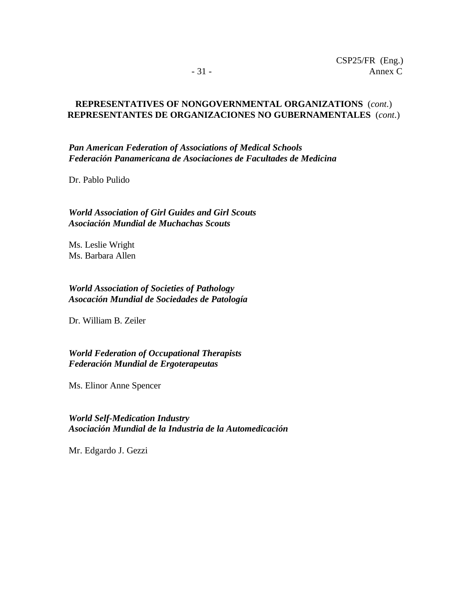#### **REPRESENTATIVES OF NONGOVERNMENTAL ORGANIZATIONS** (*cont*.) **REPRESENTANTES DE ORGANIZACIONES NO GUBERNAMENTALES** (*cont*.)

*Pan American Federation of Associations of Medical Schools Federación Panamericana de Asociaciones de Facultades de Medicina*

Dr. Pablo Pulido

*World Association of Girl Guides and Girl Scouts Asociación Mundial de Muchachas Scouts*

Ms. Leslie Wright Ms. Barbara Allen

*World Association of Societies of Pathology Asocación Mundial de Sociedades de Patología*

Dr. William B. Zeiler

*World Federation of Occupational Therapists Federación Mundial de Ergoterapeutas*

Ms. Elinor Anne Spencer

*World Self-Medication Industry Asociación Mundial de la Industria de la Automedicación*

Mr. Edgardo J. Gezzi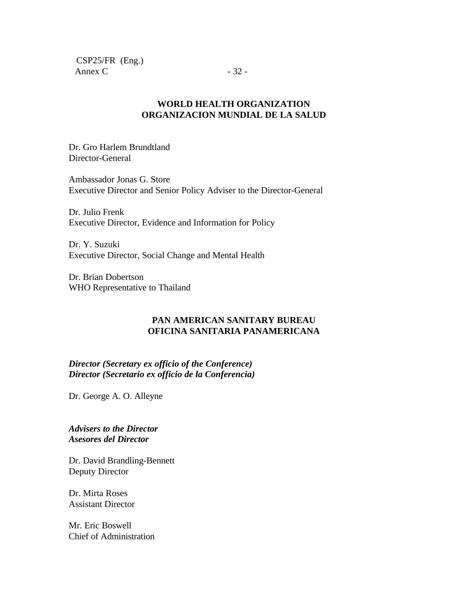CSP25/FR (Eng.) Annex C  $-32$  -

### **WORLD HEALTH ORGANIZATION ORGANIZACION MUNDIAL DE LA SALUD**

Dr. Gro Harlem Brundtland Director-General

Ambassador Jonas G. Store Executive Director and Senior Policy Adviser to the Director-General

Dr. Julio Frenk Executive Director, Evidence and Information for Policy

Dr. Y. Suzuki Executive Director, Social Change and Mental Health

Dr. Brian Dobertson WHO Representative to Thailand

## **PAN AMERICAN SANITARY BUREAU OFICINA SANITARIA PANAMERICANA**

*Director (Secretary ex officio of the Conference) Director (Secretario ex officio de la Conferencia)*

Dr. George A. O. Alleyne

*Advisers to the Director Asesores del Director*

Dr. David Brandling-Bennett Deputy Director

Dr. Mirta Roses Assistant Director

Mr. Eric Boswell Chief of Administration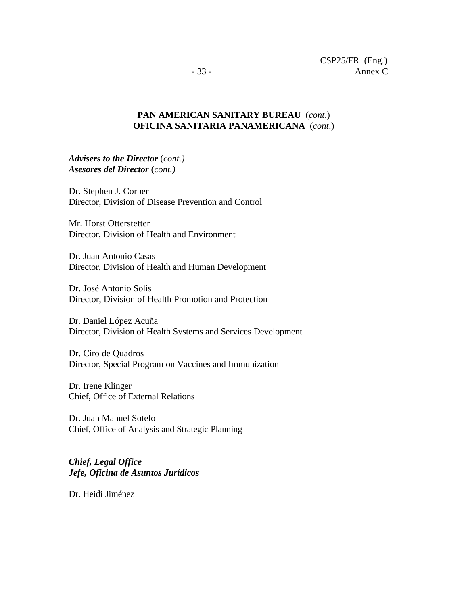## **PAN AMERICAN SANITARY BUREAU** (*cont*.) **OFICINA SANITARIA PANAMERICANA** (*cont*.)

*Advisers to the Director* (*cont.) Asesores del Director* (*cont.)*

Dr. Stephen J. Corber Director, Division of Disease Prevention and Control

Mr. Horst Otterstetter Director, Division of Health and Environment

Dr. Juan Antonio Casas Director, Division of Health and Human Development

Dr. José Antonio Solis Director, Division of Health Promotion and Protection

Dr. Daniel López Acuña Director, Division of Health Systems and Services Development

Dr. Ciro de Quadros Director, Special Program on Vaccines and Immunization

Dr. Irene Klinger Chief, Office of External Relations

Dr. Juan Manuel Sotelo Chief, Office of Analysis and Strategic Planning

*Chief, Legal Office Jefe, Oficina de Asuntos Jurídicos*

Dr. Heidi Jiménez